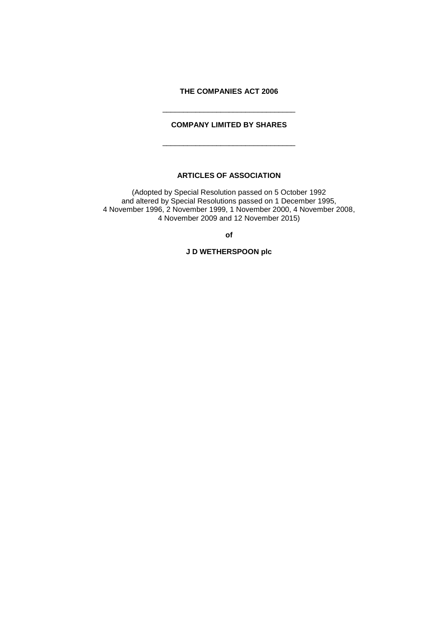# **THE COMPANIES ACT 2006**

# **COMPANY LIMITED BY SHARES**

\_\_\_\_\_\_\_\_\_\_\_\_\_\_\_\_\_\_\_\_\_\_\_\_\_\_\_\_\_\_\_\_

\_\_\_\_\_\_\_\_\_\_\_\_\_\_\_\_\_\_\_\_\_\_\_\_\_\_\_\_\_\_\_\_

# **ARTICLES OF ASSOCIATION**

(Adopted by Special Resolution passed on 5 October 1992 and altered by Special Resolutions passed on 1 December 1995, 4 November 1996, 2 November 1999, 1 November 2000, 4 November 2008, 4 November 2009 and 12 November 2015)

**of**

**J D WETHERSPOON plc**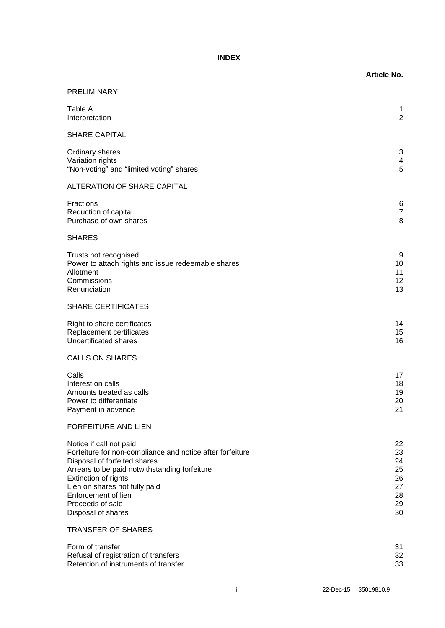# **INDEX**

|                                                                                                                                                                                                                                                                                                 | <b>Article No.</b>                                 |
|-------------------------------------------------------------------------------------------------------------------------------------------------------------------------------------------------------------------------------------------------------------------------------------------------|----------------------------------------------------|
| PRELIMINARY                                                                                                                                                                                                                                                                                     |                                                    |
| Table A<br>Interpretation                                                                                                                                                                                                                                                                       | 1<br>$\overline{c}$                                |
| <b>SHARE CAPITAL</b>                                                                                                                                                                                                                                                                            |                                                    |
| Ordinary shares<br>Variation rights<br>"Non-voting" and "limited voting" shares                                                                                                                                                                                                                 | 3<br>4<br>5                                        |
| <b>ALTERATION OF SHARE CAPITAL</b>                                                                                                                                                                                                                                                              |                                                    |
| Fractions<br>Reduction of capital<br>Purchase of own shares                                                                                                                                                                                                                                     | 6<br>7<br>8                                        |
| <b>SHARES</b>                                                                                                                                                                                                                                                                                   |                                                    |
| Trusts not recognised<br>Power to attach rights and issue redeemable shares<br>Allotment<br>Commissions<br>Renunciation                                                                                                                                                                         | g<br>10<br>11<br>12<br>13                          |
| <b>SHARE CERTIFICATES</b>                                                                                                                                                                                                                                                                       |                                                    |
| Right to share certificates<br>Replacement certificates<br><b>Uncertificated shares</b>                                                                                                                                                                                                         | 14<br>15<br>16                                     |
| <b>CALLS ON SHARES</b>                                                                                                                                                                                                                                                                          |                                                    |
| Calls<br>Interest on calls<br>Amounts treated as calls<br>Power to differentiate<br>Payment in advance                                                                                                                                                                                          | 17<br>18<br>19<br>20<br>21                         |
| <b>FORFEITURE AND LIEN</b>                                                                                                                                                                                                                                                                      |                                                    |
| Notice if call not paid<br>Forfeiture for non-compliance and notice after forfeiture<br>Disposal of forfeited shares<br>Arrears to be paid notwithstanding forfeiture<br>Extinction of rights<br>Lien on shares not fully paid<br>Enforcement of lien<br>Proceeds of sale<br>Disposal of shares | 22<br>23<br>24<br>25<br>26<br>27<br>28<br>29<br>30 |
| <b>TRANSFER OF SHARES</b>                                                                                                                                                                                                                                                                       |                                                    |
| Form of transfer<br>Refusal of registration of transfers<br>Retention of instruments of transfer                                                                                                                                                                                                | 31<br>32<br>33                                     |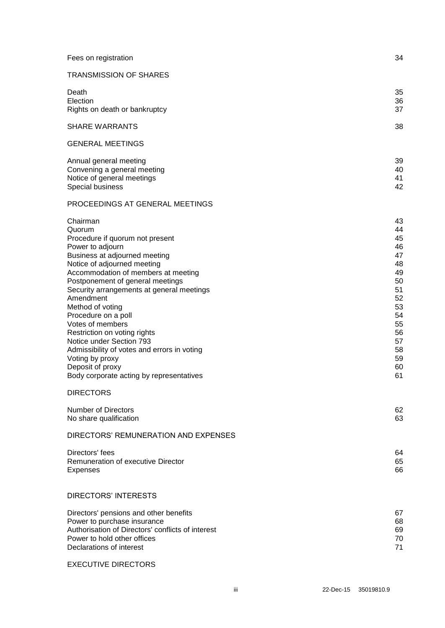| Fees on registration                                                                                                                                                                                                                                                                                                                                                                                                                                                                                                                        | 34                                                                                                             |
|---------------------------------------------------------------------------------------------------------------------------------------------------------------------------------------------------------------------------------------------------------------------------------------------------------------------------------------------------------------------------------------------------------------------------------------------------------------------------------------------------------------------------------------------|----------------------------------------------------------------------------------------------------------------|
| <b>TRANSMISSION OF SHARES</b>                                                                                                                                                                                                                                                                                                                                                                                                                                                                                                               |                                                                                                                |
| Death<br>Election<br>Rights on death or bankruptcy                                                                                                                                                                                                                                                                                                                                                                                                                                                                                          | 35<br>36<br>37                                                                                                 |
| <b>SHARE WARRANTS</b>                                                                                                                                                                                                                                                                                                                                                                                                                                                                                                                       | 38                                                                                                             |
| <b>GENERAL MEETINGS</b>                                                                                                                                                                                                                                                                                                                                                                                                                                                                                                                     |                                                                                                                |
| Annual general meeting<br>Convening a general meeting<br>Notice of general meetings<br>Special business                                                                                                                                                                                                                                                                                                                                                                                                                                     | 39<br>40<br>41<br>42                                                                                           |
| PROCEEDINGS AT GENERAL MEETINGS                                                                                                                                                                                                                                                                                                                                                                                                                                                                                                             |                                                                                                                |
| Chairman<br>Quorum<br>Procedure if quorum not present<br>Power to adjourn<br>Business at adjourned meeting<br>Notice of adjourned meeting<br>Accommodation of members at meeting<br>Postponement of general meetings<br>Security arrangements at general meetings<br>Amendment<br>Method of voting<br>Procedure on a poll<br>Votes of members<br>Restriction on voting rights<br>Notice under Section 793<br>Admissibility of votes and errors in voting<br>Voting by proxy<br>Deposit of proxy<br>Body corporate acting by representatives | 43<br>44<br>45<br>46<br>47<br>48<br>49<br>50<br>51<br>52<br>53<br>54<br>55<br>56<br>57<br>58<br>59<br>60<br>61 |
| <b>DIRECTORS</b>                                                                                                                                                                                                                                                                                                                                                                                                                                                                                                                            |                                                                                                                |
| <b>Number of Directors</b><br>No share qualification                                                                                                                                                                                                                                                                                                                                                                                                                                                                                        | 62<br>63                                                                                                       |
| DIRECTORS' REMUNERATION AND EXPENSES                                                                                                                                                                                                                                                                                                                                                                                                                                                                                                        |                                                                                                                |
| Directors' fees<br>Remuneration of executive Director<br><b>Expenses</b>                                                                                                                                                                                                                                                                                                                                                                                                                                                                    | 64<br>65<br>66                                                                                                 |
| <b>DIRECTORS' INTERESTS</b>                                                                                                                                                                                                                                                                                                                                                                                                                                                                                                                 |                                                                                                                |
| Directors' pensions and other benefits<br>Power to purchase insurance<br>Authorisation of Directors' conflicts of interest<br>Power to hold other offices<br>Declarations of interest                                                                                                                                                                                                                                                                                                                                                       | 67<br>68<br>69<br>70<br>71                                                                                     |
|                                                                                                                                                                                                                                                                                                                                                                                                                                                                                                                                             |                                                                                                                |

EXECUTIVE DIRECTORS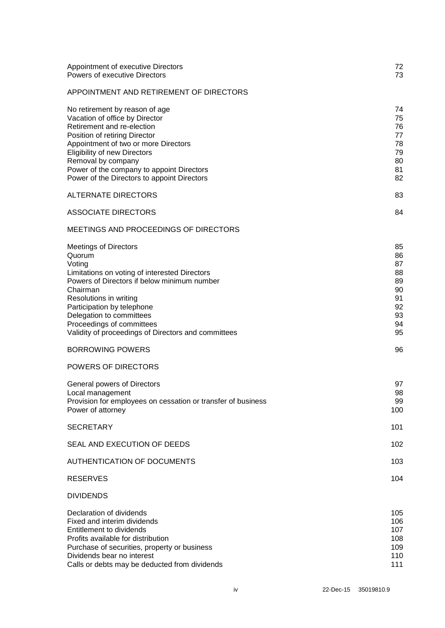| Appointment of executive Directors<br><b>Powers of executive Directors</b>                                                                                                                                                                                                                                                           | 72<br>73                                                       |
|--------------------------------------------------------------------------------------------------------------------------------------------------------------------------------------------------------------------------------------------------------------------------------------------------------------------------------------|----------------------------------------------------------------|
| APPOINTMENT AND RETIREMENT OF DIRECTORS                                                                                                                                                                                                                                                                                              |                                                                |
| No retirement by reason of age<br>Vacation of office by Director<br>Retirement and re-election<br>Position of retiring Director<br>Appointment of two or more Directors<br><b>Eligibility of new Directors</b><br>Removal by company<br>Power of the company to appoint Directors<br>Power of the Directors to appoint Directors     | 74<br>75<br>76<br>77<br>78<br>79<br>80<br>81<br>82             |
| <b>ALTERNATE DIRECTORS</b>                                                                                                                                                                                                                                                                                                           | 83                                                             |
| <b>ASSOCIATE DIRECTORS</b>                                                                                                                                                                                                                                                                                                           | 84                                                             |
| <b>MEETINGS AND PROCEEDINGS OF DIRECTORS</b>                                                                                                                                                                                                                                                                                         |                                                                |
| <b>Meetings of Directors</b><br>Quorum<br>Voting<br>Limitations on voting of interested Directors<br>Powers of Directors if below minimum number<br>Chairman<br>Resolutions in writing<br>Participation by telephone<br>Delegation to committees<br>Proceedings of committees<br>Validity of proceedings of Directors and committees | 85<br>86<br>87<br>88<br>89<br>90<br>91<br>92<br>93<br>94<br>95 |
| <b>BORROWING POWERS</b>                                                                                                                                                                                                                                                                                                              | 96                                                             |
| <b>POWERS OF DIRECTORS</b>                                                                                                                                                                                                                                                                                                           |                                                                |
| General powers of Directors<br>Local management<br>Provision for employees on cessation or transfer of business<br>Power of attorney                                                                                                                                                                                                 | 97<br>98<br>99<br>100                                          |
| <b>SECRETARY</b>                                                                                                                                                                                                                                                                                                                     | 101                                                            |
| SEAL AND EXECUTION OF DEEDS                                                                                                                                                                                                                                                                                                          | 102                                                            |
| <b>AUTHENTICATION OF DOCUMENTS</b>                                                                                                                                                                                                                                                                                                   | 103                                                            |
| <b>RESERVES</b>                                                                                                                                                                                                                                                                                                                      | 104                                                            |
| <b>DIVIDENDS</b>                                                                                                                                                                                                                                                                                                                     |                                                                |
| Declaration of dividends<br>Fixed and interim dividends<br>Entitlement to dividends<br>Profits available for distribution<br>Purchase of securities, property or business<br>Dividends bear no interest<br>Calls or debts may be deducted from dividends                                                                             | 105<br>106<br>107<br>108<br>109<br>110<br>111                  |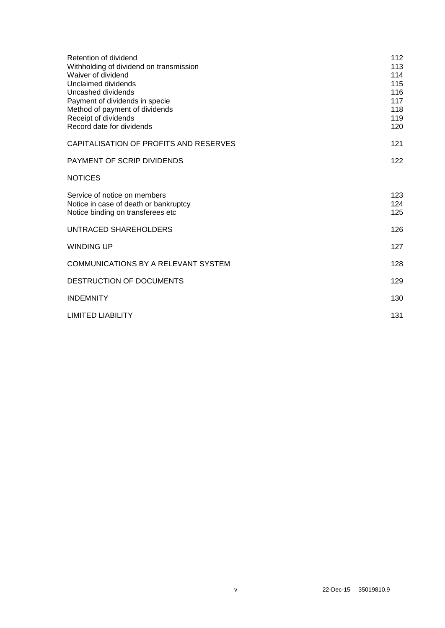| Retention of dividend<br>Withholding of dividend on transmission<br>Waiver of dividend | 112<br>113<br>114 |
|----------------------------------------------------------------------------------------|-------------------|
| Unclaimed dividends                                                                    | 115               |
| Uncashed dividends                                                                     | 116               |
| Payment of dividends in specie                                                         | 117               |
| Method of payment of dividends                                                         | 118               |
| Receipt of dividends                                                                   | 119               |
| Record date for dividends                                                              | 120               |
| CAPITALISATION OF PROFITS AND RESERVES                                                 | 121               |
| PAYMENT OF SCRIP DIVIDENDS                                                             | 122               |
| <b>NOTICES</b>                                                                         |                   |
| Service of notice on members                                                           | 123               |
| Notice in case of death or bankruptcy                                                  | 124               |
| Notice binding on transferees etc                                                      | 125               |
| UNTRACED SHAREHOLDERS                                                                  | 126               |
|                                                                                        |                   |
| <b>WINDING UP</b>                                                                      | 127               |
| COMMUNICATIONS BY A RELEVANT SYSTEM                                                    | 128               |
| DESTRUCTION OF DOCUMENTS                                                               | 129               |
| <b>INDEMNITY</b>                                                                       | 130               |
| <b>LIMITED LIABILITY</b>                                                               | 131               |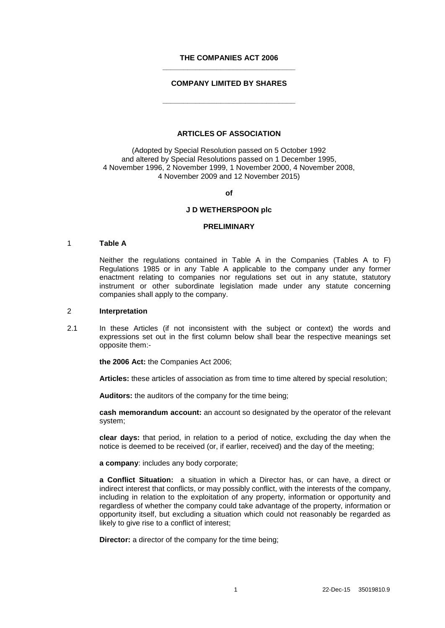### **THE COMPANIES ACT 2006 \_\_\_\_\_\_\_\_\_\_\_\_\_\_\_\_\_\_\_\_\_\_\_\_\_\_\_\_\_\_\_\_**

### **COMPANY LIMITED BY SHARES**

**\_\_\_\_\_\_\_\_\_\_\_\_\_\_\_\_\_\_\_\_\_\_\_\_\_\_\_\_\_\_\_\_**

### **ARTICLES OF ASSOCIATION**

(Adopted by Special Resolution passed on 5 October 1992 and altered by Special Resolutions passed on 1 December 1995, 4 November 1996, 2 November 1999, 1 November 2000, 4 November 2008, 4 November 2009 and 12 November 2015)

**of**

#### **J D WETHERSPOON plc**

#### **PRELIMINARY**

#### 1 **Table A**

Neither the regulations contained in Table A in the Companies (Tables A to F) Regulations 1985 or in any Table A applicable to the company under any former enactment relating to companies nor regulations set out in any statute, statutory instrument or other subordinate legislation made under any statute concerning companies shall apply to the company.

#### 2 **Interpretation**

2.1 In these Articles (if not inconsistent with the subject or context) the words and expressions set out in the first column below shall bear the respective meanings set opposite them:-

**the 2006 Act:** the Companies Act 2006;

**Articles:** these articles of association as from time to time altered by special resolution;

**Auditors:** the auditors of the company for the time being;

**cash memorandum account:** an account so designated by the operator of the relevant system;

**clear days:** that period, in relation to a period of notice, excluding the day when the notice is deemed to be received (or, if earlier, received) and the day of the meeting;

**a company**: includes any body corporate;

**a Conflict Situation:** a situation in which a Director has, or can have, a direct or indirect interest that conflicts, or may possibly conflict, with the interests of the company, including in relation to the exploitation of any property, information or opportunity and regardless of whether the company could take advantage of the property, information or opportunity itself, but excluding a situation which could not reasonably be regarded as likely to give rise to a conflict of interest;

**Director:** a director of the company for the time being;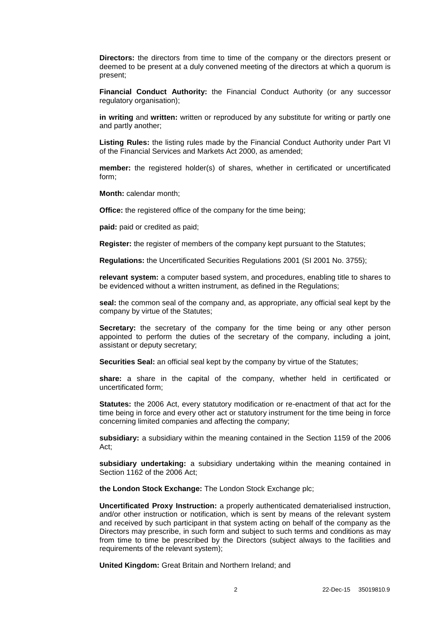**Directors:** the directors from time to time of the company or the directors present or deemed to be present at a duly convened meeting of the directors at which a quorum is present;

**Financial Conduct Authority:** the Financial Conduct Authority (or any successor regulatory organisation):

**in writing** and **written:** written or reproduced by any substitute for writing or partly one and partly another;

**Listing Rules:** the listing rules made by the Financial Conduct Authority under Part VI of the Financial Services and Markets Act 2000, as amended;

**member:** the registered holder(s) of shares, whether in certificated or uncertificated form;

**Month:** calendar month;

**Office:** the registered office of the company for the time being:

**paid:** paid or credited as paid;

**Register:** the register of members of the company kept pursuant to the Statutes;

**Regulations:** the Uncertificated Securities Regulations 2001 (SI 2001 No. 3755);

**relevant system:** a computer based system, and procedures, enabling title to shares to be evidenced without a written instrument, as defined in the Regulations;

**seal:** the common seal of the company and, as appropriate, any official seal kept by the company by virtue of the Statutes;

**Secretary:** the secretary of the company for the time being or any other person appointed to perform the duties of the secretary of the company, including a joint, assistant or deputy secretary;

**Securities Seal:** an official seal kept by the company by virtue of the Statutes;

**share:** a share in the capital of the company, whether held in certificated or uncertificated form;

**Statutes:** the 2006 Act, every statutory modification or re-enactment of that act for the time being in force and every other act or statutory instrument for the time being in force concerning limited companies and affecting the company;

**subsidiary:** a subsidiary within the meaning contained in the Section 1159 of the 2006 Act;

**subsidiary undertaking:** a subsidiary undertaking within the meaning contained in Section 1162 of the 2006 Act;

**the London Stock Exchange:** The London Stock Exchange plc;

**Uncertificated Proxy Instruction:** a properly authenticated dematerialised instruction, and/or other instruction or notification, which is sent by means of the relevant system and received by such participant in that system acting on behalf of the company as the Directors may prescribe, in such form and subject to such terms and conditions as may from time to time be prescribed by the Directors (subject always to the facilities and requirements of the relevant system);

**United Kingdom:** Great Britain and Northern Ireland; and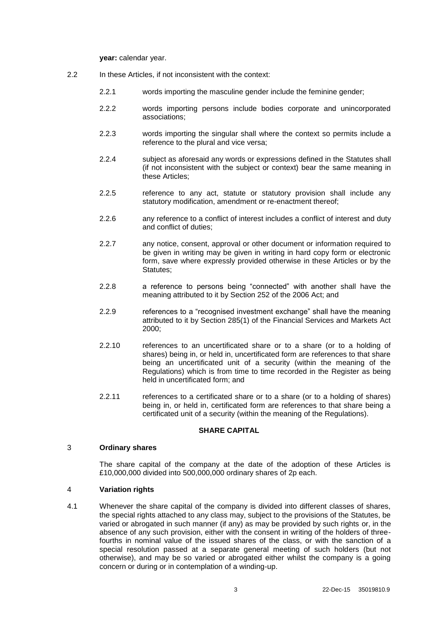**year:** calendar year.

- 2.2 In these Articles, if not inconsistent with the context:
	- 2.2.1 words importing the masculine gender include the feminine gender;
	- 2.2.2 words importing persons include bodies corporate and unincorporated associations;
	- 2.2.3 words importing the singular shall where the context so permits include a reference to the plural and vice versa;
	- 2.2.4 subject as aforesaid any words or expressions defined in the Statutes shall (if not inconsistent with the subject or context) bear the same meaning in these Articles;
	- 2.2.5 reference to any act, statute or statutory provision shall include any statutory modification, amendment or re-enactment thereof;
	- 2.2.6 any reference to a conflict of interest includes a conflict of interest and duty and conflict of duties;
	- 2.2.7 any notice, consent, approval or other document or information required to be given in writing may be given in writing in hard copy form or electronic form, save where expressly provided otherwise in these Articles or by the Statutes;
	- 2.2.8 a reference to persons being "connected" with another shall have the meaning attributed to it by Section 252 of the 2006 Act; and
	- 2.2.9 references to a "recognised investment exchange" shall have the meaning attributed to it by Section 285(1) of the Financial Services and Markets Act 2000;
	- 2.2.10 references to an uncertificated share or to a share (or to a holding of shares) being in, or held in, uncertificated form are references to that share being an uncertificated unit of a security (within the meaning of the Regulations) which is from time to time recorded in the Register as being held in uncertificated form; and
	- 2.2.11 references to a certificated share or to a share (or to a holding of shares) being in, or held in, certificated form are references to that share being a certificated unit of a security (within the meaning of the Regulations).

## **SHARE CAPITAL**

### 3 **Ordinary shares**

The share capital of the company at the date of the adoption of these Articles is £10,000,000 divided into 500,000,000 ordinary shares of 2p each.

## 4 **Variation rights**

4.1 Whenever the share capital of the company is divided into different classes of shares, the special rights attached to any class may, subject to the provisions of the Statutes, be varied or abrogated in such manner (if any) as may be provided by such rights or, in the absence of any such provision, either with the consent in writing of the holders of threefourths in nominal value of the issued shares of the class, or with the sanction of a special resolution passed at a separate general meeting of such holders (but not otherwise), and may be so varied or abrogated either whilst the company is a going concern or during or in contemplation of a winding-up.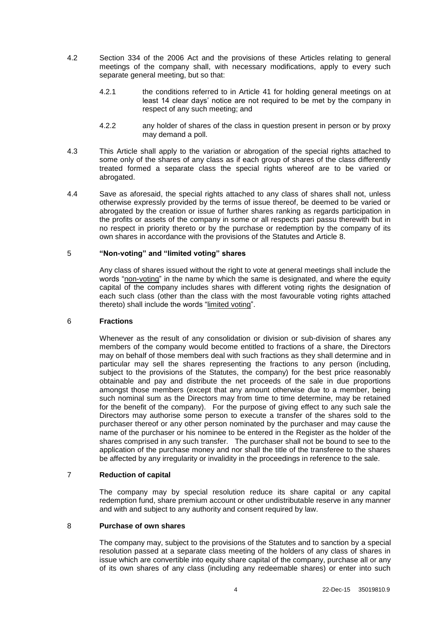- 4.2 Section 334 of the 2006 Act and the provisions of these Articles relating to general meetings of the company shall, with necessary modifications, apply to every such separate general meeting, but so that:
	- 4.2.1 the conditions referred to in Article [41](#page-17-0) for holding general meetings on at least 14 clear days' notice are not required to be met by the company in respect of any such meeting; and
	- 4.2.2 any holder of shares of the class in question present in person or by proxy may demand a poll.
- 4.3 This Article shall apply to the variation or abrogation of the special rights attached to some only of the shares of any class as if each group of shares of the class differently treated formed a separate class the special rights whereof are to be varied or abrogated.
- 4.4 Save as aforesaid, the special rights attached to any class of shares shall not, unless otherwise expressly provided by the terms of issue thereof, be deemed to be varied or abrogated by the creation or issue of further shares ranking as regards participation in the profits or assets of the company in some or all respects pari passu therewith but in no respect in priority thereto or by the purchase or redemption by the company of its own shares in accordance with the provisions of the Statutes and Article [8.](#page-8-0)

### 5 **"Non-voting" and "limited voting" shares**

Any class of shares issued without the right to vote at general meetings shall include the words "non-voting" in the name by which the same is designated, and where the equity capital of the company includes shares with different voting rights the designation of each such class (other than the class with the most favourable voting rights attached thereto) shall include the words "limited voting".

#### 6 **Fractions**

Whenever as the result of any consolidation or division or sub-division of shares any members of the company would become entitled to fractions of a share, the Directors may on behalf of those members deal with such fractions as they shall determine and in particular may sell the shares representing the fractions to any person (including, subject to the provisions of the Statutes, the company) for the best price reasonably obtainable and pay and distribute the net proceeds of the sale in due proportions amongst those members (except that any amount otherwise due to a member, being such nominal sum as the Directors may from time to time determine, may be retained for the benefit of the company). For the purpose of giving effect to any such sale the Directors may authorise some person to execute a transfer of the shares sold to the purchaser thereof or any other person nominated by the purchaser and may cause the name of the purchaser or his nominee to be entered in the Register as the holder of the shares comprised in any such transfer. The purchaser shall not be bound to see to the application of the purchase money and nor shall the title of the transferee to the shares be affected by any irregularity or invalidity in the proceedings in reference to the sale.

#### 7 **Reduction of capital**

The company may by special resolution reduce its share capital or any capital redemption fund, share premium account or other undistributable reserve in any manner and with and subject to any authority and consent required by law.

### <span id="page-8-0"></span>8 **Purchase of own shares**

The company may, subject to the provisions of the Statutes and to sanction by a special resolution passed at a separate class meeting of the holders of any class of shares in issue which are convertible into equity share capital of the company, purchase all or any of its own shares of any class (including any redeemable shares) or enter into such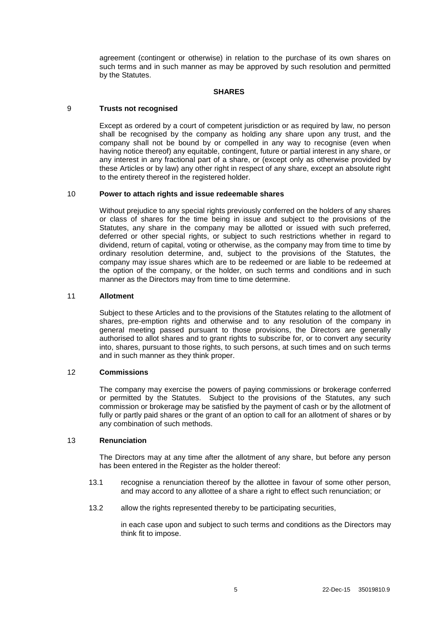agreement (contingent or otherwise) in relation to the purchase of its own shares on such terms and in such manner as may be approved by such resolution and permitted by the Statutes.

### **SHARES**

### 9 **Trusts not recognised**

Except as ordered by a court of competent jurisdiction or as required by law, no person shall be recognised by the company as holding any share upon any trust, and the company shall not be bound by or compelled in any way to recognise (even when having notice thereof) any equitable, contingent, future or partial interest in any share, or any interest in any fractional part of a share, or (except only as otherwise provided by these Articles or by law) any other right in respect of any share, except an absolute right to the entirety thereof in the registered holder.

### 10 **Power to attach rights and issue redeemable shares**

Without prejudice to any special rights previously conferred on the holders of any shares or class of shares for the time being in issue and subject to the provisions of the Statutes, any share in the company may be allotted or issued with such preferred, deferred or other special rights, or subject to such restrictions whether in regard to dividend, return of capital, voting or otherwise, as the company may from time to time by ordinary resolution determine, and, subject to the provisions of the Statutes, the company may issue shares which are to be redeemed or are liable to be redeemed at the option of the company, or the holder, on such terms and conditions and in such manner as the Directors may from time to time determine.

#### 11 **Allotment**

Subject to these Articles and to the provisions of the Statutes relating to the allotment of shares, pre-emption rights and otherwise and to any resolution of the company in general meeting passed pursuant to those provisions, the Directors are generally authorised to allot shares and to grant rights to subscribe for, or to convert any security into, shares, pursuant to those rights, to such persons, at such times and on such terms and in such manner as they think proper.

#### 12 **Commissions**

The company may exercise the powers of paying commissions or brokerage conferred or permitted by the Statutes. Subject to the provisions of the Statutes, any such commission or brokerage may be satisfied by the payment of cash or by the allotment of fully or partly paid shares or the grant of an option to call for an allotment of shares or by any combination of such methods.

### 13 **Renunciation**

The Directors may at any time after the allotment of any share, but before any person has been entered in the Register as the holder thereof:

- 13.1 recognise a renunciation thereof by the allottee in favour of some other person, and may accord to any allottee of a share a right to effect such renunciation; or
- 13.2 allow the rights represented thereby to be participating securities,

in each case upon and subject to such terms and conditions as the Directors may think fit to impose.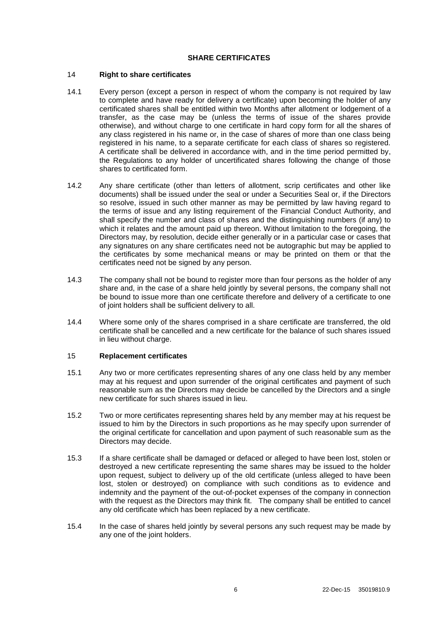### **SHARE CERTIFICATES**

### <span id="page-10-0"></span>14 **Right to share certificates**

- 14.1 Every person (except a person in respect of whom the company is not required by law to complete and have ready for delivery a certificate) upon becoming the holder of any certificated shares shall be entitled within two Months after allotment or lodgement of a transfer, as the case may be (unless the terms of issue of the shares provide otherwise), and without charge to one certificate in hard copy form for all the shares of any class registered in his name or, in the case of shares of more than one class being registered in his name, to a separate certificate for each class of shares so registered. A certificate shall be delivered in accordance with, and in the time period permitted by, the Regulations to any holder of uncertificated shares following the change of those shares to certificated form.
- 14.2 Any share certificate (other than letters of allotment, scrip certificates and other like documents) shall be issued under the seal or under a Securities Seal or, if the Directors so resolve, issued in such other manner as may be permitted by law having regard to the terms of issue and any listing requirement of the Financial Conduct Authority, and shall specify the number and class of shares and the distinguishing numbers (if any) to which it relates and the amount paid up thereon. Without limitation to the foregoing, the Directors may, by resolution, decide either generally or in a particular case or cases that any signatures on any share certificates need not be autographic but may be applied to the certificates by some mechanical means or may be printed on them or that the certificates need not be signed by any person.
- 14.3 The company shall not be bound to register more than four persons as the holder of any share and, in the case of a share held jointly by several persons, the company shall not be bound to issue more than one certificate therefore and delivery of a certificate to one of joint holders shall be sufficient delivery to all.
- 14.4 Where some only of the shares comprised in a share certificate are transferred, the old certificate shall be cancelled and a new certificate for the balance of such shares issued in lieu without charge.

#### 15 **Replacement certificates**

- 15.1 Any two or more certificates representing shares of any one class held by any member may at his request and upon surrender of the original certificates and payment of such reasonable sum as the Directors may decide be cancelled by the Directors and a single new certificate for such shares issued in lieu.
- 15.2 Two or more certificates representing shares held by any member may at his request be issued to him by the Directors in such proportions as he may specify upon surrender of the original certificate for cancellation and upon payment of such reasonable sum as the Directors may decide.
- 15.3 If a share certificate shall be damaged or defaced or alleged to have been lost, stolen or destroyed a new certificate representing the same shares may be issued to the holder upon request, subject to delivery up of the old certificate (unless alleged to have been lost, stolen or destroyed) on compliance with such conditions as to evidence and indemnity and the payment of the out-of-pocket expenses of the company in connection with the request as the Directors may think fit. The company shall be entitled to cancel any old certificate which has been replaced by a new certificate.
- 15.4 In the case of shares held jointly by several persons any such request may be made by any one of the joint holders.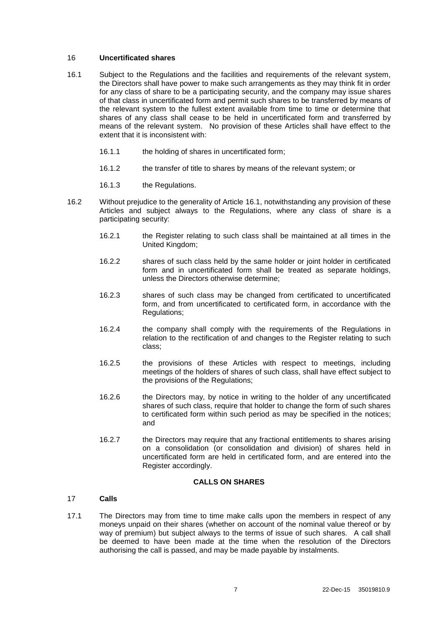### 16 **Uncertificated shares**

- <span id="page-11-0"></span>16.1 Subject to the Regulations and the facilities and requirements of the relevant system, the Directors shall have power to make such arrangements as they may think fit in order for any class of share to be a participating security, and the company may issue shares of that class in uncertificated form and permit such shares to be transferred by means of the relevant system to the fullest extent available from time to time or determine that shares of any class shall cease to be held in uncertificated form and transferred by means of the relevant system. No provision of these Articles shall have effect to the extent that it is inconsistent with:
	- 16.1.1 the holding of shares in uncertificated form;
	- 16.1.2 the transfer of title to shares by means of the relevant system; or
	- 16.1.3 the Regulations.
- 16.2 Without prejudice to the generality of Article [16.1,](#page-11-0) notwithstanding any provision of these Articles and subject always to the Regulations, where any class of share is a participating security:
	- 16.2.1 the Register relating to such class shall be maintained at all times in the United Kingdom;
	- 16.2.2 shares of such class held by the same holder or joint holder in certificated form and in uncertificated form shall be treated as separate holdings, unless the Directors otherwise determine;
	- 16.2.3 shares of such class may be changed from certificated to uncertificated form, and from uncertificated to certificated form, in accordance with the Regulations;
	- 16.2.4 the company shall comply with the requirements of the Regulations in relation to the rectification of and changes to the Register relating to such class;
	- 16.2.5 the provisions of these Articles with respect to meetings, including meetings of the holders of shares of such class, shall have effect subject to the provisions of the Regulations;
	- 16.2.6 the Directors may, by notice in writing to the holder of any uncertificated shares of such class, require that holder to change the form of such shares to certificated form within such period as may be specified in the notices; and
	- 16.2.7 the Directors may require that any fractional entitlements to shares arising on a consolidation (or consolidation and division) of shares held in uncertificated form are held in certificated form, and are entered into the Register accordingly.

## **CALLS ON SHARES**

## 17 **Calls**

17.1 The Directors may from time to time make calls upon the members in respect of any moneys unpaid on their shares (whether on account of the nominal value thereof or by way of premium) but subject always to the terms of issue of such shares. A call shall be deemed to have been made at the time when the resolution of the Directors authorising the call is passed, and may be made payable by instalments.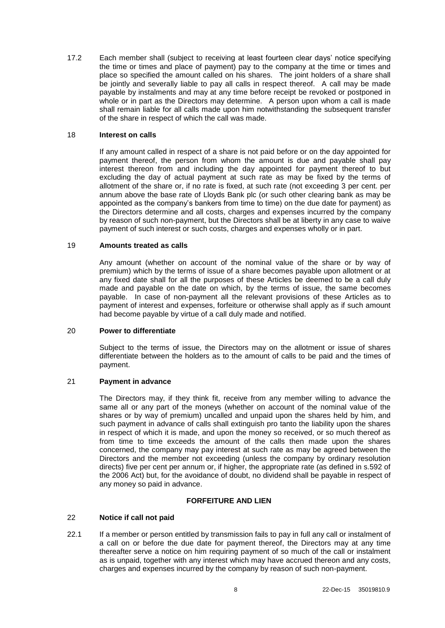17.2 Each member shall (subject to receiving at least fourteen clear days' notice specifying the time or times and place of payment) pay to the company at the time or times and place so specified the amount called on his shares. The joint holders of a share shall be jointly and severally liable to pay all calls in respect thereof. A call may be made payable by instalments and may at any time before receipt be revoked or postponed in whole or in part as the Directors may determine. A person upon whom a call is made shall remain liable for all calls made upon him notwithstanding the subsequent transfer of the share in respect of which the call was made.

### 18 **Interest on calls**

If any amount called in respect of a share is not paid before or on the day appointed for payment thereof, the person from whom the amount is due and payable shall pay interest thereon from and including the day appointed for payment thereof to but excluding the day of actual payment at such rate as may be fixed by the terms of allotment of the share or, if no rate is fixed, at such rate (not exceeding 3 per cent. per annum above the base rate of Lloyds Bank plc (or such other clearing bank as may be appointed as the company's bankers from time to time) on the due date for payment) as the Directors determine and all costs, charges and expenses incurred by the company by reason of such non-payment, but the Directors shall be at liberty in any case to waive payment of such interest or such costs, charges and expenses wholly or in part.

### 19 **Amounts treated as calls**

Any amount (whether on account of the nominal value of the share or by way of premium) which by the terms of issue of a share becomes payable upon allotment or at any fixed date shall for all the purposes of these Articles be deemed to be a call duly made and payable on the date on which, by the terms of issue, the same becomes payable. In case of non-payment all the relevant provisions of these Articles as to payment of interest and expenses, forfeiture or otherwise shall apply as if such amount had become payable by virtue of a call duly made and notified.

#### 20 **Power to differentiate**

Subject to the terms of issue, the Directors may on the allotment or issue of shares differentiate between the holders as to the amount of calls to be paid and the times of payment.

#### 21 **Payment in advance**

The Directors may, if they think fit, receive from any member willing to advance the same all or any part of the moneys (whether on account of the nominal value of the shares or by way of premium) uncalled and unpaid upon the shares held by him, and such payment in advance of calls shall extinguish pro tanto the liability upon the shares in respect of which it is made, and upon the money so received, or so much thereof as from time to time exceeds the amount of the calls then made upon the shares concerned, the company may pay interest at such rate as may be agreed between the Directors and the member not exceeding (unless the company by ordinary resolution directs) five per cent per annum or, if higher, the appropriate rate (as defined in s.592 of the 2006 Act) but, for the avoidance of doubt, no dividend shall be payable in respect of any money so paid in advance.

#### **FORFEITURE AND LIEN**

### 22 **Notice if call not paid**

22.1 If a member or person entitled by transmission fails to pay in full any call or instalment of a call on or before the due date for payment thereof, the Directors may at any time thereafter serve a notice on him requiring payment of so much of the call or instalment as is unpaid, together with any interest which may have accrued thereon and any costs, charges and expenses incurred by the company by reason of such non-payment.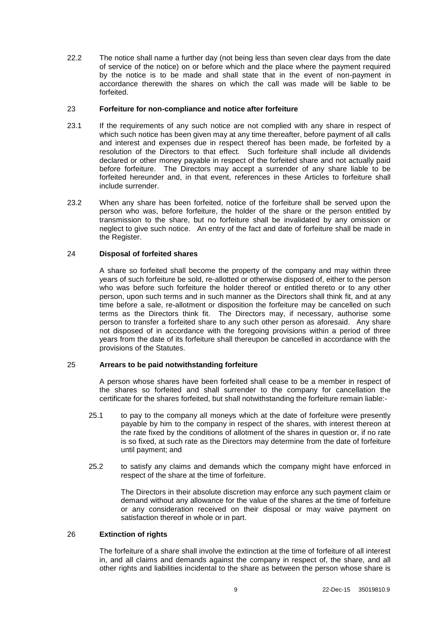22.2 The notice shall name a further day (not being less than seven clear days from the date of service of the notice) on or before which and the place where the payment required by the notice is to be made and shall state that in the event of non-payment in accordance therewith the shares on which the call was made will be liable to be forfeited.

### 23 **Forfeiture for non-compliance and notice after forfeiture**

- 23.1 If the requirements of any such notice are not complied with any share in respect of which such notice has been given may at any time thereafter, before payment of all calls and interest and expenses due in respect thereof has been made, be forfeited by a resolution of the Directors to that effect. Such forfeiture shall include all dividends declared or other money payable in respect of the forfeited share and not actually paid before forfeiture. The Directors may accept a surrender of any share liable to be forfeited hereunder and, in that event, references in these Articles to forfeiture shall include surrender.
- 23.2 When any share has been forfeited, notice of the forfeiture shall be served upon the person who was, before forfeiture, the holder of the share or the person entitled by transmission to the share, but no forfeiture shall be invalidated by any omission or neglect to give such notice. An entry of the fact and date of forfeiture shall be made in the Register.

### 24 **Disposal of forfeited shares**

A share so forfeited shall become the property of the company and may within three years of such forfeiture be sold, re-allotted or otherwise disposed of, either to the person who was before such forfeiture the holder thereof or entitled thereto or to any other person, upon such terms and in such manner as the Directors shall think fit, and at any time before a sale, re-allotment or disposition the forfeiture may be cancelled on such terms as the Directors think fit. The Directors may, if necessary, authorise some person to transfer a forfeited share to any such other person as aforesaid. Any share not disposed of in accordance with the foregoing provisions within a period of three years from the date of its forfeiture shall thereupon be cancelled in accordance with the provisions of the Statutes.

### 25 **Arrears to be paid notwithstanding forfeiture**

A person whose shares have been forfeited shall cease to be a member in respect of the shares so forfeited and shall surrender to the company for cancellation the certificate for the shares forfeited, but shall notwithstanding the forfeiture remain liable:-

- 25.1 to pay to the company all moneys which at the date of forfeiture were presently payable by him to the company in respect of the shares, with interest thereon at the rate fixed by the conditions of allotment of the shares in question or, if no rate is so fixed, at such rate as the Directors may determine from the date of forfeiture until payment; and
- 25.2 to satisfy any claims and demands which the company might have enforced in respect of the share at the time of forfeiture.

The Directors in their absolute discretion may enforce any such payment claim or demand without any allowance for the value of the shares at the time of forfeiture or any consideration received on their disposal or may waive payment on satisfaction thereof in whole or in part.

## 26 **Extinction of rights**

The forfeiture of a share shall involve the extinction at the time of forfeiture of all interest in, and all claims and demands against the company in respect of, the share, and all other rights and liabilities incidental to the share as between the person whose share is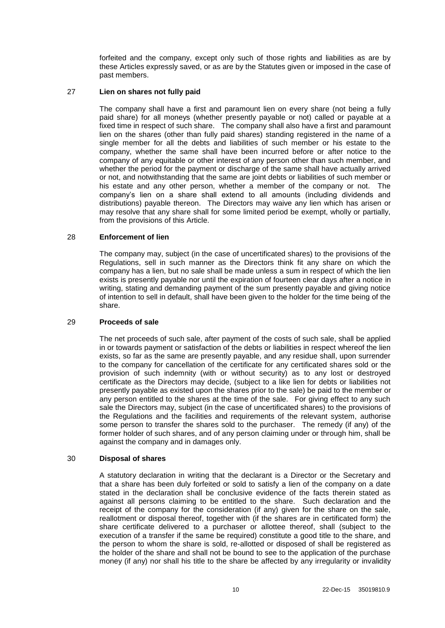forfeited and the company, except only such of those rights and liabilities as are by these Articles expressly saved, or as are by the Statutes given or imposed in the case of past members.

### 27 **Lien on shares not fully paid**

The company shall have a first and paramount lien on every share (not being a fully paid share) for all moneys (whether presently payable or not) called or payable at a fixed time in respect of such share. The company shall also have a first and paramount lien on the shares (other than fully paid shares) standing registered in the name of a single member for all the debts and liabilities of such member or his estate to the company, whether the same shall have been incurred before or after notice to the company of any equitable or other interest of any person other than such member, and whether the period for the payment or discharge of the same shall have actually arrived or not, and notwithstanding that the same are joint debts or liabilities of such member or his estate and any other person, whether a member of the company or not. The company's lien on a share shall extend to all amounts (including dividends and distributions) payable thereon. The Directors may waive any lien which has arisen or may resolve that any share shall for some limited period be exempt, wholly or partially, from the provisions of this Article.

### 28 **Enforcement of lien**

The company may, subject (in the case of uncertificated shares) to the provisions of the Regulations, sell in such manner as the Directors think fit any share on which the company has a lien, but no sale shall be made unless a sum in respect of which the lien exists is presently payable nor until the expiration of fourteen clear days after a notice in writing, stating and demanding payment of the sum presently payable and giving notice of intention to sell in default, shall have been given to the holder for the time being of the share.

#### 29 **Proceeds of sale**

The net proceeds of such sale, after payment of the costs of such sale, shall be applied in or towards payment or satisfaction of the debts or liabilities in respect whereof the lien exists, so far as the same are presently payable, and any residue shall, upon surrender to the company for cancellation of the certificate for any certificated shares sold or the provision of such indemnity (with or without security) as to any lost or destroyed certificate as the Directors may decide, (subject to a like lien for debts or liabilities not presently payable as existed upon the shares prior to the sale) be paid to the member or any person entitled to the shares at the time of the sale. For giving effect to any such sale the Directors may, subject (in the case of uncertificated shares) to the provisions of the Regulations and the facilities and requirements of the relevant system, authorise some person to transfer the shares sold to the purchaser. The remedy (if any) of the former holder of such shares, and of any person claiming under or through him, shall be against the company and in damages only.

#### 30 **Disposal of shares**

A statutory declaration in writing that the declarant is a Director or the Secretary and that a share has been duly forfeited or sold to satisfy a lien of the company on a date stated in the declaration shall be conclusive evidence of the facts therein stated as against all persons claiming to be entitled to the share. Such declaration and the receipt of the company for the consideration (if any) given for the share on the sale, reallotment or disposal thereof, together with (if the shares are in certificated form) the share certificate delivered to a purchaser or allottee thereof, shall (subject to the execution of a transfer if the same be required) constitute a good title to the share, and the person to whom the share is sold, re-allotted or disposed of shall be registered as the holder of the share and shall not be bound to see to the application of the purchase money (if any) nor shall his title to the share be affected by any irregularity or invalidity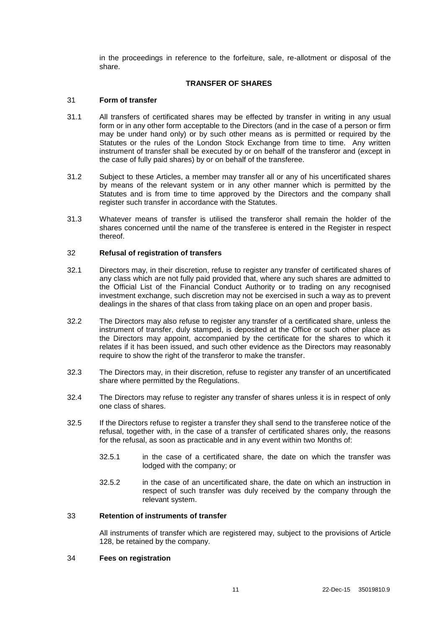in the proceedings in reference to the forfeiture, sale, re-allotment or disposal of the share.

### **TRANSFER OF SHARES**

### 31 **Form of transfer**

- 31.1 All transfers of certificated shares may be effected by transfer in writing in any usual form or in any other form acceptable to the Directors (and in the case of a person or firm may be under hand only) or by such other means as is permitted or required by the Statutes or the rules of the London Stock Exchange from time to time. Any written instrument of transfer shall be executed by or on behalf of the transferor and (except in the case of fully paid shares) by or on behalf of the transferee.
- 31.2 Subject to these Articles, a member may transfer all or any of his uncertificated shares by means of the relevant system or in any other manner which is permitted by the Statutes and is from time to time approved by the Directors and the company shall register such transfer in accordance with the Statutes.
- 31.3 Whatever means of transfer is utilised the transferor shall remain the holder of the shares concerned until the name of the transferee is entered in the Register in respect thereof.

#### 32 **Refusal of registration of transfers**

- 32.1 Directors may, in their discretion, refuse to register any transfer of certificated shares of any class which are not fully paid provided that, where any such shares are admitted to the Official List of the Financial Conduct Authority or to trading on any recognised investment exchange, such discretion may not be exercised in such a way as to prevent dealings in the shares of that class from taking place on an open and proper basis.
- 32.2 The Directors may also refuse to register any transfer of a certificated share, unless the instrument of transfer, duly stamped, is deposited at the Office or such other place as the Directors may appoint, accompanied by the certificate for the shares to which it relates if it has been issued, and such other evidence as the Directors may reasonably require to show the right of the transferor to make the transfer.
- 32.3 The Directors may, in their discretion, refuse to register any transfer of an uncertificated share where permitted by the Regulations.
- 32.4 The Directors may refuse to register any transfer of shares unless it is in respect of only one class of shares.
- 32.5 If the Directors refuse to register a transfer they shall send to the transferee notice of the refusal, together with, in the case of a transfer of certificated shares only, the reasons for the refusal, as soon as practicable and in any event within two Months of:
	- 32.5.1 in the case of a certificated share, the date on which the transfer was lodged with the company; or
	- 32.5.2 in the case of an uncertificated share, the date on which an instruction in respect of such transfer was duly received by the company through the relevant system.

### 33 **Retention of instruments of transfer**

All instruments of transfer which are registered may, subject to the provisions of Article 128, be retained by the company.

#### 34 **Fees on registration**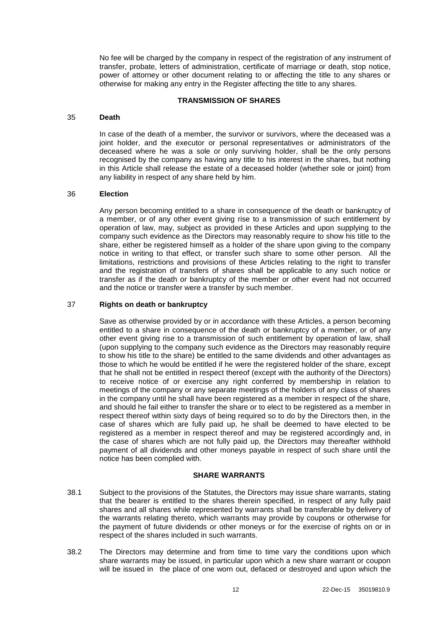No fee will be charged by the company in respect of the registration of any instrument of transfer, probate, letters of administration, certificate of marriage or death, stop notice, power of attorney or other document relating to or affecting the title to any shares or otherwise for making any entry in the Register affecting the title to any shares.

### **TRANSMISSION OF SHARES**

#### 35 **Death**

In case of the death of a member, the survivor or survivors, where the deceased was a joint holder, and the executor or personal representatives or administrators of the deceased where he was a sole or only surviving holder, shall be the only persons recognised by the company as having any title to his interest in the shares, but nothing in this Article shall release the estate of a deceased holder (whether sole or joint) from any liability in respect of any share held by him.

#### 36 **Election**

Any person becoming entitled to a share in consequence of the death or bankruptcy of a member, or of any other event giving rise to a transmission of such entitlement by operation of law, may, subject as provided in these Articles and upon supplying to the company such evidence as the Directors may reasonably require to show his title to the share, either be registered himself as a holder of the share upon giving to the company notice in writing to that effect, or transfer such share to some other person. All the limitations, restrictions and provisions of these Articles relating to the right to transfer and the registration of transfers of shares shall be applicable to any such notice or transfer as if the death or bankruptcy of the member or other event had not occurred and the notice or transfer were a transfer by such member.

#### 37 **Rights on death or bankruptcy**

Save as otherwise provided by or in accordance with these Articles, a person becoming entitled to a share in consequence of the death or bankruptcy of a member, or of any other event giving rise to a transmission of such entitlement by operation of law, shall (upon supplying to the company such evidence as the Directors may reasonably require to show his title to the share) be entitled to the same dividends and other advantages as those to which he would be entitled if he were the registered holder of the share, except that he shall not be entitled in respect thereof (except with the authority of the Directors) to receive notice of or exercise any right conferred by membership in relation to meetings of the company or any separate meetings of the holders of any class of shares in the company until he shall have been registered as a member in respect of the share, and should he fail either to transfer the share or to elect to be registered as a member in respect thereof within sixty days of being required so to do by the Directors then, in the case of shares which are fully paid up, he shall be deemed to have elected to be registered as a member in respect thereof and may be registered accordingly and, in the case of shares which are not fully paid up, the Directors may thereafter withhold payment of all dividends and other moneys payable in respect of such share until the notice has been complied with.

#### **SHARE WARRANTS**

- 38.1 Subject to the provisions of the Statutes, the Directors may issue share warrants, stating that the bearer is entitled to the shares therein specified, in respect of any fully paid shares and all shares while represented by warrants shall be transferable by delivery of the warrants relating thereto, which warrants may provide by coupons or otherwise for the payment of future dividends or other moneys or for the exercise of rights on or in respect of the shares included in such warrants.
- 38.2 The Directors may determine and from time to time vary the conditions upon which share warrants may be issued, in particular upon which a new share warrant or coupon will be issued in the place of one worn out, defaced or destroyed and upon which the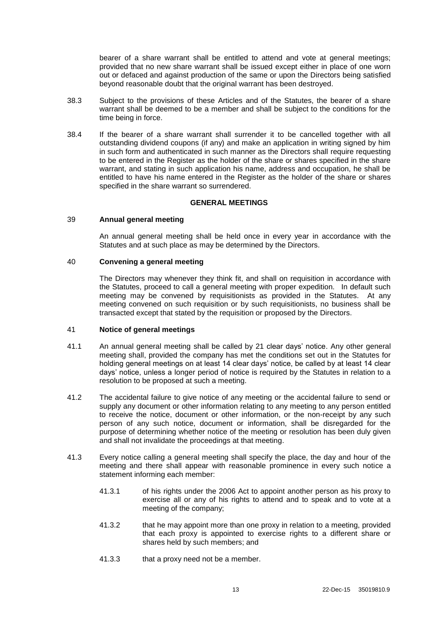bearer of a share warrant shall be entitled to attend and vote at general meetings; provided that no new share warrant shall be issued except either in place of one worn out or defaced and against production of the same or upon the Directors being satisfied beyond reasonable doubt that the original warrant has been destroyed.

- 38.3 Subject to the provisions of these Articles and of the Statutes, the bearer of a share warrant shall be deemed to be a member and shall be subject to the conditions for the time being in force.
- 38.4 If the bearer of a share warrant shall surrender it to be cancelled together with all outstanding dividend coupons (if any) and make an application in writing signed by him in such form and authenticated in such manner as the Directors shall require requesting to be entered in the Register as the holder of the share or shares specified in the share warrant, and stating in such application his name, address and occupation, he shall be entitled to have his name entered in the Register as the holder of the share or shares specified in the share warrant so surrendered.

### **GENERAL MEETINGS**

#### 39 **Annual general meeting**

An annual general meeting shall be held once in every year in accordance with the Statutes and at such place as may be determined by the Directors.

#### 40 **Convening a general meeting**

The Directors may whenever they think fit, and shall on requisition in accordance with the Statutes, proceed to call a general meeting with proper expedition. In default such meeting may be convened by requisitionists as provided in the Statutes. At any meeting convened on such requisition or by such requisitionists, no business shall be transacted except that stated by the requisition or proposed by the Directors.

#### <span id="page-17-0"></span>41 **Notice of general meetings**

- 41.1 An annual general meeting shall be called by 21 clear days' notice. Any other general meeting shall, provided the company has met the conditions set out in the Statutes for holding general meetings on at least 14 clear days' notice, be called by at least 14 clear days' notice, unless a longer period of notice is required by the Statutes in relation to a resolution to be proposed at such a meeting.
- 41.2 The accidental failure to give notice of any meeting or the accidental failure to send or supply any document or other information relating to any meeting to any person entitled to receive the notice, document or other information, or the non-receipt by any such person of any such notice, document or information, shall be disregarded for the purpose of determining whether notice of the meeting or resolution has been duly given and shall not invalidate the proceedings at that meeting.
- 41.3 Every notice calling a general meeting shall specify the place, the day and hour of the meeting and there shall appear with reasonable prominence in every such notice a statement informing each member:
	- 41.3.1 of his rights under the 2006 Act to appoint another person as his proxy to exercise all or any of his rights to attend and to speak and to vote at a meeting of the company;
	- 41.3.2 that he may appoint more than one proxy in relation to a meeting, provided that each proxy is appointed to exercise rights to a different share or shares held by such members; and
	- 41.3.3 that a proxy need not be a member.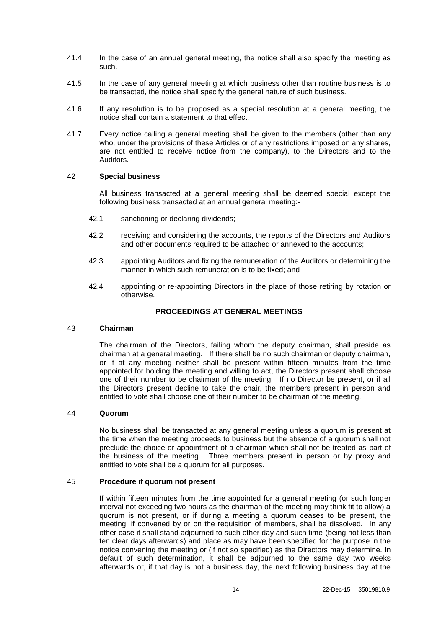- 41.4 In the case of an annual general meeting, the notice shall also specify the meeting as such.
- 41.5 In the case of any general meeting at which business other than routine business is to be transacted, the notice shall specify the general nature of such business.
- 41.6 If any resolution is to be proposed as a special resolution at a general meeting, the notice shall contain a statement to that effect.
- 41.7 Every notice calling a general meeting shall be given to the members (other than any who, under the provisions of these Articles or of any restrictions imposed on any shares, are not entitled to receive notice from the company), to the Directors and to the Auditors.

### 42 **Special business**

All business transacted at a general meeting shall be deemed special except the following business transacted at an annual general meeting:-

- 42.1 sanctioning or declaring dividends;
- 42.2 receiving and considering the accounts, the reports of the Directors and Auditors and other documents required to be attached or annexed to the accounts;
- 42.3 appointing Auditors and fixing the remuneration of the Auditors or determining the manner in which such remuneration is to be fixed; and
- 42.4 appointing or re-appointing Directors in the place of those retiring by rotation or otherwise.

### **PROCEEDINGS AT GENERAL MEETINGS**

#### 43 **Chairman**

The chairman of the Directors, failing whom the deputy chairman, shall preside as chairman at a general meeting. If there shall be no such chairman or deputy chairman, or if at any meeting neither shall be present within fifteen minutes from the time appointed for holding the meeting and willing to act, the Directors present shall choose one of their number to be chairman of the meeting. If no Director be present, or if all the Directors present decline to take the chair, the members present in person and entitled to vote shall choose one of their number to be chairman of the meeting.

#### 44 **Quorum**

No business shall be transacted at any general meeting unless a quorum is present at the time when the meeting proceeds to business but the absence of a quorum shall not preclude the choice or appointment of a chairman which shall not be treated as part of the business of the meeting. Three members present in person or by proxy and entitled to vote shall be a quorum for all purposes.

#### 45 **Procedure if quorum not present**

If within fifteen minutes from the time appointed for a general meeting (or such longer interval not exceeding two hours as the chairman of the meeting may think fit to allow) a quorum is not present, or if during a meeting a quorum ceases to be present, the meeting, if convened by or on the requisition of members, shall be dissolved. In any other case it shall stand adjourned to such other day and such time (being not less than ten clear days afterwards) and place as may have been specified for the purpose in the notice convening the meeting or (if not so specified) as the Directors may determine. In default of such determination, it shall be adjourned to the same day two weeks afterwards or, if that day is not a business day, the next following business day at the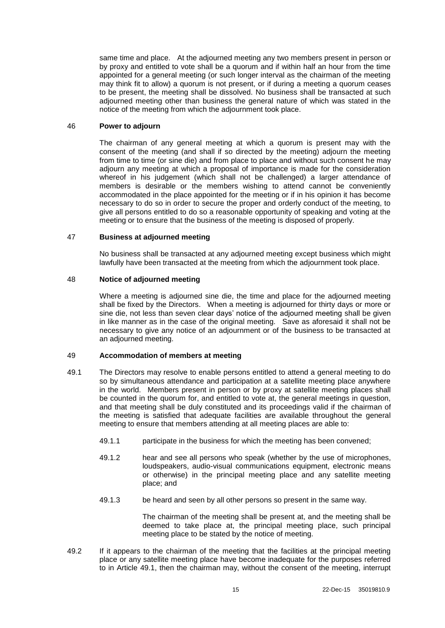same time and place. At the adjourned meeting any two members present in person or by proxy and entitled to vote shall be a quorum and if within half an hour from the time appointed for a general meeting (or such longer interval as the chairman of the meeting may think fit to allow) a quorum is not present, or if during a meeting a quorum ceases to be present, the meeting shall be dissolved. No business shall be transacted at such adjourned meeting other than business the general nature of which was stated in the notice of the meeting from which the adjournment took place.

### <span id="page-19-1"></span>46 **Power to adjourn**

The chairman of any general meeting at which a quorum is present may with the consent of the meeting (and shall if so directed by the meeting) adjourn the meeting from time to time (or sine die) and from place to place and without such consent he may adjourn any meeting at which a proposal of importance is made for the consideration whereof in his judgement (which shall not be challenged) a larger attendance of members is desirable or the members wishing to attend cannot be conveniently accommodated in the place appointed for the meeting or if in his opinion it has become necessary to do so in order to secure the proper and orderly conduct of the meeting, to give all persons entitled to do so a reasonable opportunity of speaking and voting at the meeting or to ensure that the business of the meeting is disposed of properly.

### 47 **Business at adjourned meeting**

No business shall be transacted at any adjourned meeting except business which might lawfully have been transacted at the meeting from which the adjournment took place.

### 48 **Notice of adjourned meeting**

Where a meeting is adjourned sine die, the time and place for the adjourned meeting shall be fixed by the Directors. When a meeting is adjourned for thirty days or more or sine die, not less than seven clear days' notice of the adjourned meeting shall be given in like manner as in the case of the original meeting. Save as aforesaid it shall not be necessary to give any notice of an adjournment or of the business to be transacted at an adjourned meeting.

## <span id="page-19-2"></span>49 **Accommodation of members at meeting**

- <span id="page-19-0"></span>49.1 The Directors may resolve to enable persons entitled to attend a general meeting to do so by simultaneous attendance and participation at a satellite meeting place anywhere in the world. Members present in person or by proxy at satellite meeting places shall be counted in the quorum for, and entitled to vote at, the general meetings in question, and that meeting shall be duly constituted and its proceedings valid if the chairman of the meeting is satisfied that adequate facilities are available throughout the general meeting to ensure that members attending at all meeting places are able to:
	- 49.1.1 participate in the business for which the meeting has been convened;
	- 49.1.2 hear and see all persons who speak (whether by the use of microphones, loudspeakers, audio-visual communications equipment, electronic means or otherwise) in the principal meeting place and any satellite meeting place; and
	- 49.1.3 be heard and seen by all other persons so present in the same way.

The chairman of the meeting shall be present at, and the meeting shall be deemed to take place at, the principal meeting place, such principal meeting place to be stated by the notice of meeting.

49.2 If it appears to the chairman of the meeting that the facilities at the principal meeting place or any satellite meeting place have become inadequate for the purposes referred to in Article [49.1,](#page-19-0) then the chairman may, without the consent of the meeting, interrupt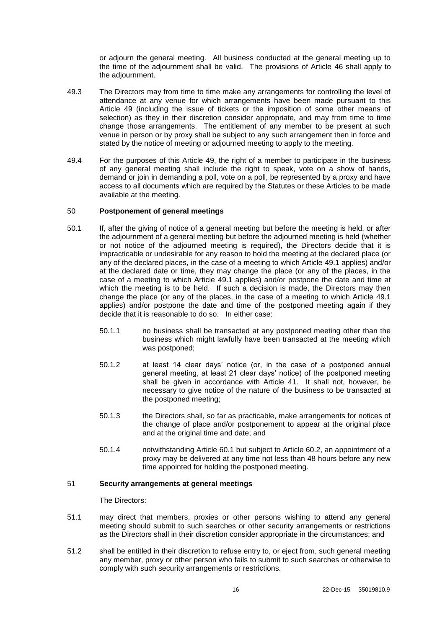or adjourn the general meeting. All business conducted at the general meeting up to the time of the adjournment shall be valid. The provisions of Article [46](#page-19-1) shall apply to the adjournment.

- 49.3 The Directors may from time to time make any arrangements for controlling the level of attendance at any venue for which arrangements have been made pursuant to this Article [49](#page-19-2) (including the issue of tickets or the imposition of some other means of selection) as they in their discretion consider appropriate, and may from time to time change those arrangements. The entitlement of any member to be present at such venue in person or by proxy shall be subject to any such arrangement then in force and stated by the notice of meeting or adjourned meeting to apply to the meeting.
- 49.4 For the purposes of this Article [49,](#page-19-2) the right of a member to participate in the business of any general meeting shall include the right to speak, vote on a show of hands, demand or join in demanding a poll, vote on a poll, be represented by a proxy and have access to all documents which are required by the Statutes or these Articles to be made available at the meeting.

#### 50 **Postponement of general meetings**

- 50.1 If, after the giving of notice of a general meeting but before the meeting is held, or after the adjournment of a general meeting but before the adjourned meeting is held (whether or not notice of the adjourned meeting is required), the Directors decide that it is impracticable or undesirable for any reason to hold the meeting at the declared place (or any of the declared places, in the case of a meeting to which Article [49.1](#page-19-0) applies) and/or at the declared date or time, they may change the place (or any of the places, in the case of a meeting to which Article [49.1](#page-19-0) applies) and/or postpone the date and time at which the meeting is to be held. If such a decision is made, the Directors may then change the place (or any of the places, in the case of a meeting to which Article [49.1](#page-19-0) applies) and/or postpone the date and time of the postponed meeting again if they decide that it is reasonable to do so. In either case:
	- 50.1.1 no business shall be transacted at any postponed meeting other than the business which might lawfully have been transacted at the meeting which was postponed;
	- 50.1.2 at least 14 clear days' notice (or, in the case of a postponed annual general meeting, at least 21 clear days' notice) of the postponed meeting shall be given in accordance with Article [41.](#page-17-0) It shall not, however, be necessary to give notice of the nature of the business to be transacted at the postponed meeting;
	- 50.1.3 the Directors shall, so far as practicable, make arrangements for notices of the change of place and/or postponement to appear at the original place and at the original time and date; and
	- 50.1.4 notwithstanding Article [60.1](#page-26-0) but subject to Article [60.2,](#page-26-1) an appointment of a proxy may be delivered at any time not less than 48 hours before any new time appointed for holding the postponed meeting.

## <span id="page-20-0"></span>51 **Security arrangements at general meetings**

The Directors:

- 51.1 may direct that members, proxies or other persons wishing to attend any general meeting should submit to such searches or other security arrangements or restrictions as the Directors shall in their discretion consider appropriate in the circumstances; and
- 51.2 shall be entitled in their discretion to refuse entry to, or eject from, such general meeting any member, proxy or other person who fails to submit to such searches or otherwise to comply with such security arrangements or restrictions.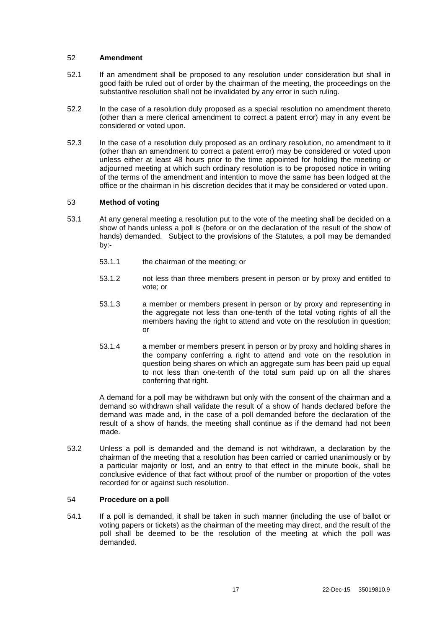### 52 **Amendment**

- 52.1 If an amendment shall be proposed to any resolution under consideration but shall in good faith be ruled out of order by the chairman of the meeting, the proceedings on the substantive resolution shall not be invalidated by any error in such ruling.
- 52.2 In the case of a resolution duly proposed as a special resolution no amendment thereto (other than a mere clerical amendment to correct a patent error) may in any event be considered or voted upon.
- 52.3 In the case of a resolution duly proposed as an ordinary resolution, no amendment to it (other than an amendment to correct a patent error) may be considered or voted upon unless either at least 48 hours prior to the time appointed for holding the meeting or adjourned meeting at which such ordinary resolution is to be proposed notice in writing of the terms of the amendment and intention to move the same has been lodged at the office or the chairman in his discretion decides that it may be considered or voted upon.

### 53 **Method of voting**

- 53.1 At any general meeting a resolution put to the vote of the meeting shall be decided on a show of hands unless a poll is (before or on the declaration of the result of the show of hands) demanded. Subject to the provisions of the Statutes, a poll may be demanded by:-
	- 53.1.1 the chairman of the meeting; or
	- 53.1.2 not less than three members present in person or by proxy and entitled to vote; or
	- 53.1.3 a member or members present in person or by proxy and representing in the aggregate not less than one-tenth of the total voting rights of all the members having the right to attend and vote on the resolution in question; or
	- 53.1.4 a member or members present in person or by proxy and holding shares in the company conferring a right to attend and vote on the resolution in question being shares on which an aggregate sum has been paid up equal to not less than one-tenth of the total sum paid up on all the shares conferring that right.

A demand for a poll may be withdrawn but only with the consent of the chairman and a demand so withdrawn shall validate the result of a show of hands declared before the demand was made and, in the case of a poll demanded before the declaration of the result of a show of hands, the meeting shall continue as if the demand had not been made.

53.2 Unless a poll is demanded and the demand is not withdrawn, a declaration by the chairman of the meeting that a resolution has been carried or carried unanimously or by a particular majority or lost, and an entry to that effect in the minute book, shall be conclusive evidence of that fact without proof of the number or proportion of the votes recorded for or against such resolution.

#### 54 **Procedure on a poll**

54.1 If a poll is demanded, it shall be taken in such manner (including the use of ballot or voting papers or tickets) as the chairman of the meeting may direct, and the result of the poll shall be deemed to be the resolution of the meeting at which the poll was demanded.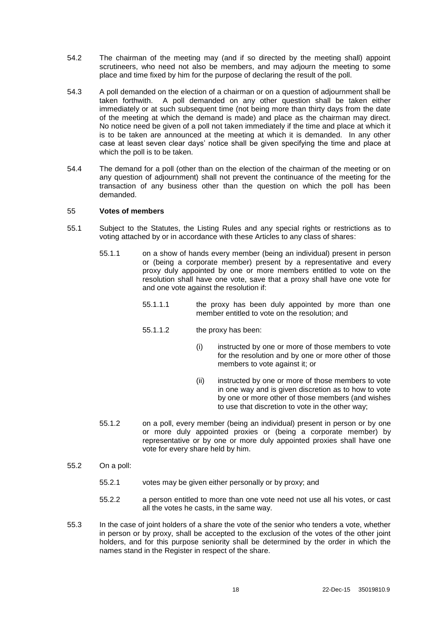- 54.2 The chairman of the meeting may (and if so directed by the meeting shall) appoint scrutineers, who need not also be members, and may adjourn the meeting to some place and time fixed by him for the purpose of declaring the result of the poll.
- 54.3 A poll demanded on the election of a chairman or on a question of adjournment shall be taken forthwith. A poll demanded on any other question shall be taken either immediately or at such subsequent time (not being more than thirty days from the date of the meeting at which the demand is made) and place as the chairman may direct. No notice need be given of a poll not taken immediately if the time and place at which it is to be taken are announced at the meeting at which it is demanded. In any other case at least seven clear days' notice shall be given specifying the time and place at which the poll is to be taken.
- 54.4 The demand for a poll (other than on the election of the chairman of the meeting or on any question of adjournment) shall not prevent the continuance of the meeting for the transaction of any business other than the question on which the poll has been demanded.

#### 55 **Votes of members**

- 55.1 Subject to the Statutes, the Listing Rules and any special rights or restrictions as to voting attached by or in accordance with these Articles to any class of shares:
	- 55.1.1 on a show of hands every member (being an individual) present in person or (being a corporate member) present by a representative and every proxy duly appointed by one or more members entitled to vote on the resolution shall have one vote, save that a proxy shall have one vote for and one vote against the resolution if:
		- 55.1.1.1 the proxy has been duly appointed by more than one member entitled to vote on the resolution; and
		- 55.1.1.2 the proxy has been:
			- (i) instructed by one or more of those members to vote for the resolution and by one or more other of those members to vote against it; or
			- (ii) instructed by one or more of those members to vote in one way and is given discretion as to how to vote by one or more other of those members (and wishes to use that discretion to vote in the other way;
	- 55.1.2 on a poll, every member (being an individual) present in person or by one or more duly appointed proxies or (being a corporate member) by representative or by one or more duly appointed proxies shall have one vote for every share held by him.
- 55.2 On a poll:
	- 55.2.1 votes may be given either personally or by proxy; and
	- 55.2.2 a person entitled to more than one vote need not use all his votes, or cast all the votes he casts, in the same way.
- 55.3 In the case of joint holders of a share the vote of the senior who tenders a vote, whether in person or by proxy, shall be accepted to the exclusion of the votes of the other joint holders, and for this purpose seniority shall be determined by the order in which the names stand in the Register in respect of the share.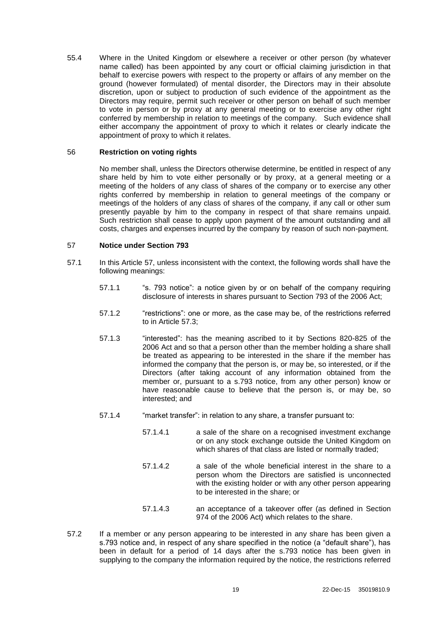55.4 Where in the United Kingdom or elsewhere a receiver or other person (by whatever name called) has been appointed by any court or official claiming jurisdiction in that behalf to exercise powers with respect to the property or affairs of any member on the ground (however formulated) of mental disorder, the Directors may in their absolute discretion, upon or subject to production of such evidence of the appointment as the Directors may require, permit such receiver or other person on behalf of such member to vote in person or by proxy at any general meeting or to exercise any other right conferred by membership in relation to meetings of the company. Such evidence shall either accompany the appointment of proxy to which it relates or clearly indicate the appointment of proxy to which it relates.

### 56 **Restriction on voting rights**

No member shall, unless the Directors otherwise determine, be entitled in respect of any share held by him to vote either personally or by proxy, at a general meeting or a meeting of the holders of any class of shares of the company or to exercise any other rights conferred by membership in relation to general meetings of the company or meetings of the holders of any class of shares of the company, if any call or other sum presently payable by him to the company in respect of that share remains unpaid. Such restriction shall cease to apply upon payment of the amount outstanding and all costs, charges and expenses incurred by the company by reason of such non-payment.

### <span id="page-23-0"></span>57 **Notice under Section 793**

- 57.1 In this Article [57,](#page-23-0) unless inconsistent with the context, the following words shall have the following meanings:
	- 57.1.1 " "s. 793 notice": a notice given by or on behalf of the company requiring disclosure of interests in shares pursuant to Section 793 of the 2006 Act;
	- 57.1.2 "restrictions": one or more, as the case may be, of the restrictions referred to in Article [57.3;](#page-24-0)
	- 57.1.3 "interested": has the meaning ascribed to it by Sections 820-825 of the 2006 Act and so that a person other than the member holding a share shall be treated as appearing to be interested in the share if the member has informed the company that the person is, or may be, so interested, or if the Directors (after taking account of any information obtained from the member or, pursuant to a s.793 notice, from any other person) know or have reasonable cause to believe that the person is, or may be, so interested; and
	- 57.1.4 "market transfer": in relation to any share, a transfer pursuant to:
		- 57.1.4.1 a sale of the share on a recognised investment exchange or on any stock exchange outside the United Kingdom on which shares of that class are listed or normally traded;
		- 57.1.4.2 a sale of the whole beneficial interest in the share to a person whom the Directors are satisfied is unconnected with the existing holder or with any other person appearing to be interested in the share; or
		- 57.1.4.3 an acceptance of a takeover offer (as defined in Section 974 of the 2006 Act) which relates to the share.
- 57.2 If a member or any person appearing to be interested in any share has been given a s.793 notice and, in respect of any share specified in the notice (a "default share"), has been in default for a period of 14 days after the s.793 notice has been given in supplying to the company the information required by the notice, the restrictions referred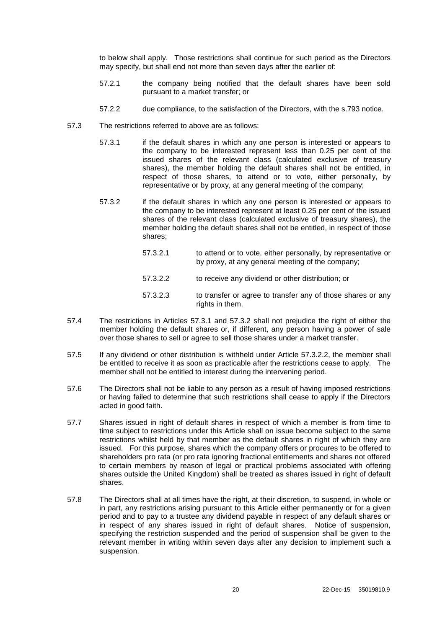to below shall apply. Those restrictions shall continue for such period as the Directors may specify, but shall end not more than seven days after the earlier of:

- 57.2.1 the company being notified that the default shares have been sold pursuant to a market transfer; or
- 57.2.2 due compliance, to the satisfaction of the Directors, with the s.793 notice.
- <span id="page-24-2"></span><span id="page-24-1"></span><span id="page-24-0"></span>57.3 The restrictions referred to above are as follows:
	- 57.3.1 if the default shares in which any one person is interested or appears to the company to be interested represent less than 0.25 per cent of the issued shares of the relevant class (calculated exclusive of treasury shares), the member holding the default shares shall not be entitled, in respect of those shares, to attend or to vote, either personally, by representative or by proxy, at any general meeting of the company;
	- 57.3.2 if the default shares in which any one person is interested or appears to the company to be interested represent at least 0.25 per cent of the issued shares of the relevant class (calculated exclusive of treasury shares), the member holding the default shares shall not be entitled, in respect of those shares;
		- 57.3.2.1 to attend or to vote, either personally, by representative or by proxy, at any general meeting of the company;
		- 57.3.2.2 to receive any dividend or other distribution; or
		- 57.3.2.3 to transfer or agree to transfer any of those shares or any rights in them.
- <span id="page-24-3"></span>57.4 The restrictions in Articles [57.3.1](#page-24-1) and [57.3.2](#page-24-2) shall not prejudice the right of either the member holding the default shares or, if different, any person having a power of sale over those shares to sell or agree to sell those shares under a market transfer.
- 57.5 If any dividend or other distribution is withheld under Article [57.3.2.2,](#page-24-3) the member shall be entitled to receive it as soon as practicable after the restrictions cease to apply. The member shall not be entitled to interest during the intervening period.
- 57.6 The Directors shall not be liable to any person as a result of having imposed restrictions or having failed to determine that such restrictions shall cease to apply if the Directors acted in good faith.
- 57.7 Shares issued in right of default shares in respect of which a member is from time to time subject to restrictions under this Article shall on issue become subject to the same restrictions whilst held by that member as the default shares in right of which they are issued. For this purpose, shares which the company offers or procures to be offered to shareholders pro rata (or pro rata ignoring fractional entitlements and shares not offered to certain members by reason of legal or practical problems associated with offering shares outside the United Kingdom) shall be treated as shares issued in right of default shares.
- 57.8 The Directors shall at all times have the right, at their discretion, to suspend, in whole or in part, any restrictions arising pursuant to this Article either permanently or for a given period and to pay to a trustee any dividend payable in respect of any default shares or in respect of any shares issued in right of default shares. Notice of suspension, specifying the restriction suspended and the period of suspension shall be given to the relevant member in writing within seven days after any decision to implement such a suspension.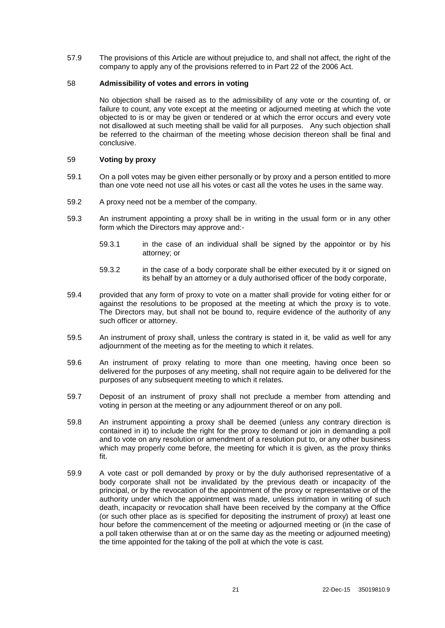57.9 The provisions of this Article are without prejudice to, and shall not affect, the right of the company to apply any of the provisions referred to in Part 22 of the 2006 Act.

### 58 **Admissibility of votes and errors in voting**

No objection shall be raised as to the admissibility of any vote or the counting of, or failure to count, any vote except at the meeting or adjourned meeting at which the vote objected to is or may be given or tendered or at which the error occurs and every vote not disallowed at such meeting shall be valid for all purposes. Any such objection shall be referred to the chairman of the meeting whose decision thereon shall be final and conclusive.

## 59 **Voting by proxy**

- 59.1 On a poll votes may be given either personally or by proxy and a person entitled to more than one vote need not use all his votes or cast all the votes he uses in the same way.
- 59.2 A proxy need not be a member of the company.
- 59.3 An instrument appointing a proxy shall be in writing in the usual form or in any other form which the Directors may approve and:-
	- 59.3.1 in the case of an individual shall be signed by the appointor or by his attorney; or
	- 59.3.2 in the case of a body corporate shall be either executed by it or signed on its behalf by an attorney or a duly authorised officer of the body corporate,
- 59.4 provided that any form of proxy to vote on a matter shall provide for voting either for or against the resolutions to be proposed at the meeting at which the proxy is to vote. The Directors may, but shall not be bound to, require evidence of the authority of any such officer or attorney.
- 59.5 An instrument of proxy shall, unless the contrary is stated in it, be valid as well for any adjournment of the meeting as for the meeting to which it relates.
- 59.6 An instrument of proxy relating to more than one meeting, having once been so delivered for the purposes of any meeting, shall not require again to be delivered for the purposes of any subsequent meeting to which it relates.
- 59.7 Deposit of an instrument of proxy shall not preclude a member from attending and voting in person at the meeting or any adjournment thereof or on any poll.
- 59.8 An instrument appointing a proxy shall be deemed (unless any contrary direction is contained in it) to include the right for the proxy to demand or join in demanding a poll and to vote on any resolution or amendment of a resolution put to, or any other business which may properly come before, the meeting for which it is given, as the proxy thinks fit.
- 59.9 A vote cast or poll demanded by proxy or by the duly authorised representative of a body corporate shall not be invalidated by the previous death or incapacity of the principal, or by the revocation of the appointment of the proxy or representative or of the authority under which the appointment was made, unless intimation in writing of such death, incapacity or revocation shall have been received by the company at the Office (or such other place as is specified for depositing the instrument of proxy) at least one hour before the commencement of the meeting or adjourned meeting or (in the case of a poll taken otherwise than at or on the same day as the meeting or adjourned meeting) the time appointed for the taking of the poll at which the vote is cast.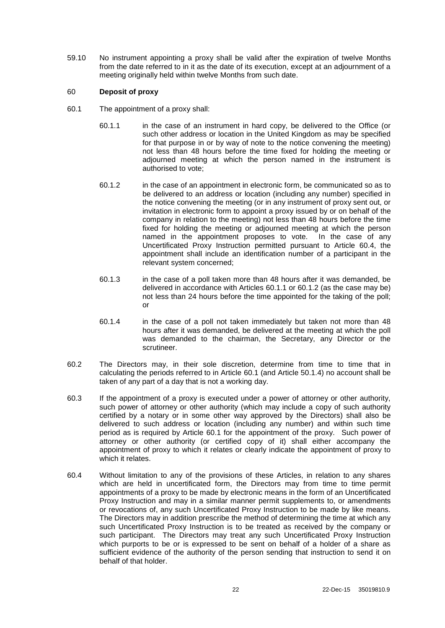59.10 No instrument appointing a proxy shall be valid after the expiration of twelve Months from the date referred to in it as the date of its execution, except at an adjournment of a meeting originally held within twelve Months from such date.

### 60 **Deposit of proxy**

- <span id="page-26-4"></span><span id="page-26-3"></span><span id="page-26-0"></span>60.1 The appointment of a proxy shall:
	- 60.1.1 in the case of an instrument in hard copy, be delivered to the Office (or such other address or location in the United Kingdom as may be specified for that purpose in or by way of note to the notice convening the meeting) not less than 48 hours before the time fixed for holding the meeting or adjourned meeting at which the person named in the instrument is authorised to vote;
	- 60.1.2 in the case of an appointment in electronic form, be communicated so as to be delivered to an address or location (including any number) specified in the notice convening the meeting (or in any instrument of proxy sent out, or invitation in electronic form to appoint a proxy issued by or on behalf of the company in relation to the meeting) not less than 48 hours before the time fixed for holding the meeting or adjourned meeting at which the person named in the appointment proposes to vote. In the case of any Uncertificated Proxy Instruction permitted pursuant to Article [60.4,](#page-26-2) the appointment shall include an identification number of a participant in the relevant system concerned;
	- 60.1.3 in the case of a poll taken more than 48 hours after it was demanded, be delivered in accordance with Articles [60.1.1](#page-26-3) or [60.1.2](#page-26-4) (as the case may be) not less than 24 hours before the time appointed for the taking of the poll; or
	- 60.1.4 in the case of a poll not taken immediately but taken not more than 48 hours after it was demanded, be delivered at the meeting at which the poll was demanded to the chairman, the Secretary, any Director or the scrutineer.
- <span id="page-26-1"></span>60.2 The Directors may, in their sole discretion, determine from time to time that in calculating the periods referred to in Article [60.1](#page-26-0) (and Article [50.1.4\)](#page-20-0) no account shall be taken of any part of a day that is not a working day.
- 60.3 If the appointment of a proxy is executed under a power of attorney or other authority, such power of attorney or other authority (which may include a copy of such authority certified by a notary or in some other way approved by the Directors) shall also be delivered to such address or location (including any number) and within such time period as is required by Article [60.1](#page-26-0) for the appointment of the proxy. Such power of attorney or other authority (or certified copy of it) shall either accompany the appointment of proxy to which it relates or clearly indicate the appointment of proxy to which it relates.
- <span id="page-26-2"></span>60.4 Without limitation to any of the provisions of these Articles, in relation to any shares which are held in uncertificated form, the Directors may from time to time permit appointments of a proxy to be made by electronic means in the form of an Uncertificated Proxy Instruction and may in a similar manner permit supplements to, or amendments or revocations of, any such Uncertificated Proxy Instruction to be made by like means. The Directors may in addition prescribe the method of determining the time at which any such Uncertificated Proxy Instruction is to be treated as received by the company or such participant. The Directors may treat any such Uncertificated Proxy Instruction which purports to be or is expressed to be sent on behalf of a holder of a share as sufficient evidence of the authority of the person sending that instruction to send it on behalf of that holder.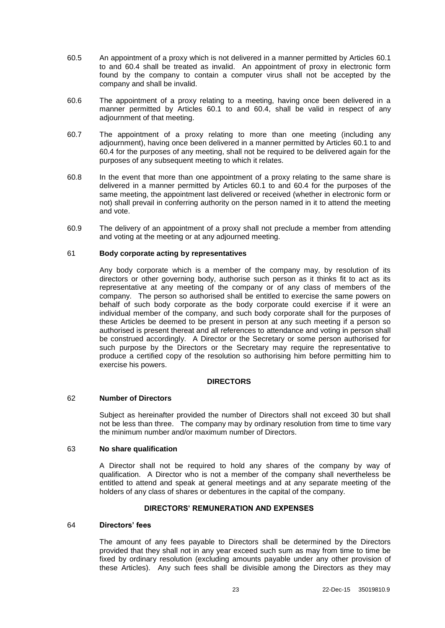- 60.5 An appointment of a proxy which is not delivered in a manner permitted by Articles [60.1](#page-26-0) to and [60.4](#page-26-2) shall be treated as invalid. An appointment of proxy in electronic form found by the company to contain a computer virus shall not be accepted by the company and shall be invalid.
- 60.6 The appointment of a proxy relating to a meeting, having once been delivered in a manner permitted by Articles [60.1](#page-26-0) to and [60.4,](#page-26-2) shall be valid in respect of any adjournment of that meeting.
- 60.7 The appointment of a proxy relating to more than one meeting (including any adjournment), having once been delivered in a manner permitted by Articles [60.1](#page-26-0) to and [60.4](#page-26-2) for the purposes of any meeting, shall not be required to be delivered again for the purposes of any subsequent meeting to which it relates.
- 60.8 In the event that more than one appointment of a proxy relating to the same share is delivered in a manner permitted by Articles [60.1](#page-26-0) to and [60.4](#page-26-2) for the purposes of the same meeting, the appointment last delivered or received (whether in electronic form or not) shall prevail in conferring authority on the person named in it to attend the meeting and vote.
- 60.9 The delivery of an appointment of a proxy shall not preclude a member from attending and voting at the meeting or at any adjourned meeting.

#### 61 **Body corporate acting by representatives**

Any body corporate which is a member of the company may, by resolution of its directors or other governing body, authorise such person as it thinks fit to act as its representative at any meeting of the company or of any class of members of the company. The person so authorised shall be entitled to exercise the same powers on behalf of such body corporate as the body corporate could exercise if it were an individual member of the company, and such body corporate shall for the purposes of these Articles be deemed to be present in person at any such meeting if a person so authorised is present thereat and all references to attendance and voting in person shall be construed accordingly. A Director or the Secretary or some person authorised for such purpose by the Directors or the Secretary may require the representative to produce a certified copy of the resolution so authorising him before permitting him to exercise his powers.

#### **DIRECTORS**

## <span id="page-27-0"></span>62 **Number of Directors**

Subject as hereinafter provided the number of Directors shall not exceed 30 but shall not be less than three. The company may by ordinary resolution from time to time vary the minimum number and/or maximum number of Directors.

#### 63 **No share qualification**

A Director shall not be required to hold any shares of the company by way of qualification. A Director who is not a member of the company shall nevertheless be entitled to attend and speak at general meetings and at any separate meeting of the holders of any class of shares or debentures in the capital of the company.

#### **DIRECTORS' REMUNERATION AND EXPENSES**

#### <span id="page-27-1"></span>64 **Directors' fees**

The amount of any fees payable to Directors shall be determined by the Directors provided that they shall not in any year exceed such sum as may from time to time be fixed by ordinary resolution (excluding amounts payable under any other provision of these Articles). Any such fees shall be divisible among the Directors as they may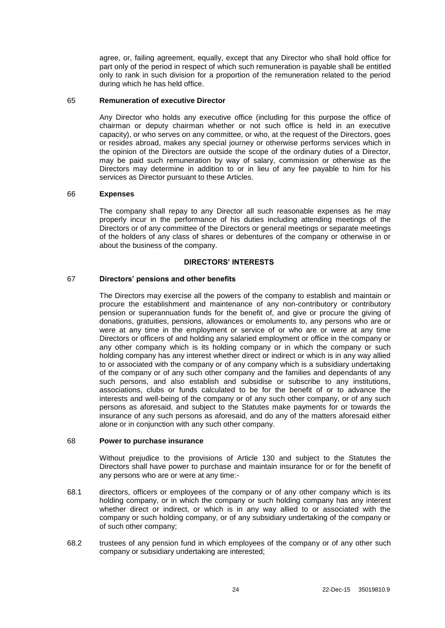agree, or, failing agreement, equally, except that any Director who shall hold office for part only of the period in respect of which such remuneration is payable shall be entitled only to rank in such division for a proportion of the remuneration related to the period during which he has held office.

### <span id="page-28-0"></span>65 **Remuneration of executive Director**

Any Director who holds any executive office (including for this purpose the office of chairman or deputy chairman whether or not such office is held in an executive capacity), or who serves on any committee, or who, at the request of the Directors, goes or resides abroad, makes any special journey or otherwise performs services which in the opinion of the Directors are outside the scope of the ordinary duties of a Director, may be paid such remuneration by way of salary, commission or otherwise as the Directors may determine in addition to or in lieu of any fee payable to him for his services as Director pursuant to these Articles.

#### <span id="page-28-1"></span>66 **Expenses**

The company shall repay to any Director all such reasonable expenses as he may properly incur in the performance of his duties including attending meetings of the Directors or of any committee of the Directors or general meetings or separate meetings of the holders of any class of shares or debentures of the company or otherwise in or about the business of the company.

#### **DIRECTORS' INTERESTS**

### 67 **Directors' pensions and other benefits**

The Directors may exercise all the powers of the company to establish and maintain or procure the establishment and maintenance of any non-contributory or contributory pension or superannuation funds for the benefit of, and give or procure the giving of donations, gratuities, pensions, allowances or emoluments to, any persons who are or were at any time in the employment or service of or who are or were at any time Directors or officers of and holding any salaried employment or office in the company or any other company which is its holding company or in which the company or such holding company has any interest whether direct or indirect or which is in any way allied to or associated with the company or of any company which is a subsidiary undertaking of the company or of any such other company and the families and dependants of any such persons, and also establish and subsidise or subscribe to any institutions, associations, clubs or funds calculated to be for the benefit of or to advance the interests and well-being of the company or of any such other company, or of any such persons as aforesaid, and subject to the Statutes make payments for or towards the insurance of any such persons as aforesaid, and do any of the matters aforesaid either alone or in conjunction with any such other company.

#### 68 **Power to purchase insurance**

Without prejudice to the provisions of Article [130](#page-51-0) and subject to the Statutes the Directors shall have power to purchase and maintain insurance for or for the benefit of any persons who are or were at any time:-

- 68.1 directors, officers or employees of the company or of any other company which is its holding company, or in which the company or such holding company has any interest whether direct or indirect, or which is in any way allied to or associated with the company or such holding company, or of any subsidiary undertaking of the company or of such other company;
- 68.2 trustees of any pension fund in which employees of the company or of any other such company or subsidiary undertaking are interested;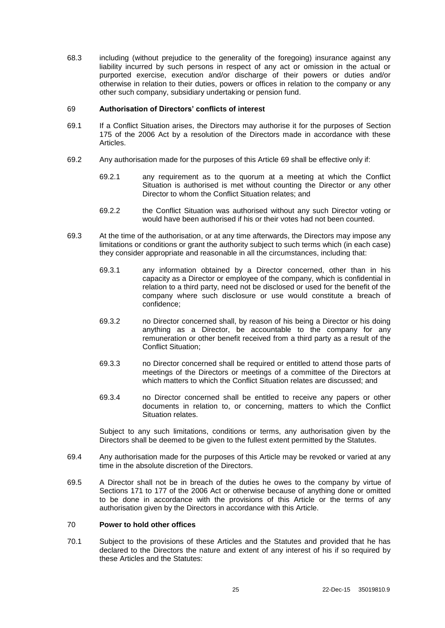68.3 including (without prejudice to the generality of the foregoing) insurance against any liability incurred by such persons in respect of any act or omission in the actual or purported exercise, execution and/or discharge of their powers or duties and/or otherwise in relation to their duties, powers or offices in relation to the company or any other such company, subsidiary undertaking or pension fund.

#### <span id="page-29-0"></span>69 **Authorisation of Directors' conflicts of interest**

- 69.1 If a Conflict Situation arises, the Directors may authorise it for the purposes of Section 175 of the 2006 Act by a resolution of the Directors made in accordance with these Articles.
- 69.2 Any authorisation made for the purposes of this Article [69](#page-29-0) shall be effective only if:
	- 69.2.1 any requirement as to the quorum at a meeting at which the Conflict Situation is authorised is met without counting the Director or any other Director to whom the Conflict Situation relates; and
	- 69.2.2 the Conflict Situation was authorised without any such Director voting or would have been authorised if his or their votes had not been counted.
- 69.3 At the time of the authorisation, or at any time afterwards, the Directors may impose any limitations or conditions or grant the authority subject to such terms which (in each case) they consider appropriate and reasonable in all the circumstances, including that:
	- 69.3.1 any information obtained by a Director concerned, other than in his capacity as a Director or employee of the company, which is confidential in relation to a third party, need not be disclosed or used for the benefit of the company where such disclosure or use would constitute a breach of confidence;
	- 69.3.2 no Director concerned shall, by reason of his being a Director or his doing anything as a Director, be accountable to the company for any remuneration or other benefit received from a third party as a result of the Conflict Situation;
	- 69.3.3 no Director concerned shall be required or entitled to attend those parts of meetings of the Directors or meetings of a committee of the Directors at which matters to which the Conflict Situation relates are discussed; and
	- 69.3.4 no Director concerned shall be entitled to receive any papers or other documents in relation to, or concerning, matters to which the Conflict Situation relates.

Subject to any such limitations, conditions or terms, any authorisation given by the Directors shall be deemed to be given to the fullest extent permitted by the Statutes.

- 69.4 Any authorisation made for the purposes of this Article may be revoked or varied at any time in the absolute discretion of the Directors.
- 69.5 A Director shall not be in breach of the duties he owes to the company by virtue of Sections 171 to 177 of the 2006 Act or otherwise because of anything done or omitted to be done in accordance with the provisions of this Article or the terms of any authorisation given by the Directors in accordance with this Article.

### <span id="page-29-1"></span>70 **Power to hold other offices**

70.1 Subject to the provisions of these Articles and the Statutes and provided that he has declared to the Directors the nature and extent of any interest of his if so required by these Articles and the Statutes: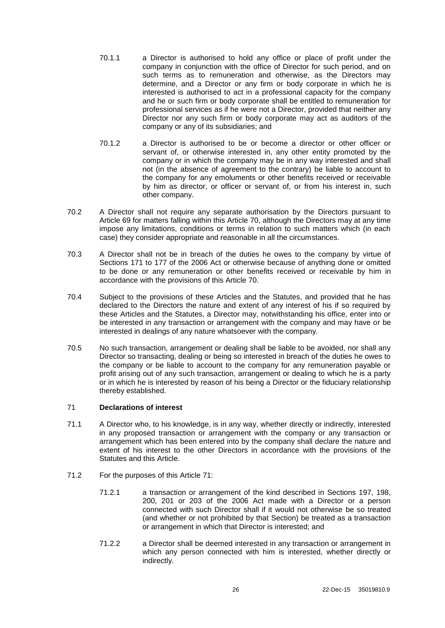- 70.1.1 a Director is authorised to hold any office or place of profit under the company in conjunction with the office of Director for such period, and on such terms as to remuneration and otherwise, as the Directors may determine, and a Director or any firm or body corporate in which he is interested is authorised to act in a professional capacity for the company and he or such firm or body corporate shall be entitled to remuneration for professional services as if he were not a Director, provided that neither any Director nor any such firm or body corporate may act as auditors of the company or any of its subsidiaries; and
- 70.1.2 a Director is authorised to be or become a director or other officer or servant of, or otherwise interested in, any other entity promoted by the company or in which the company may be in any way interested and shall not (in the absence of agreement to the contrary) be liable to account to the company for any emoluments or other benefits received or receivable by him as director, or officer or servant of, or from his interest in, such other company.
- 70.2 A Director shall not require any separate authorisation by the Directors pursuant to Article [69](#page-29-0) for matters falling within this Article [70,](#page-29-1) although the Directors may at any time impose any limitations, conditions or terms in relation to such matters which (in each case) they consider appropriate and reasonable in all the circumstances.
- 70.3 A Director shall not be in breach of the duties he owes to the company by virtue of Sections 171 to 177 of the 2006 Act or otherwise because of anything done or omitted to be done or any remuneration or other benefits received or receivable by him in accordance with the provisions of this Article [70.](#page-29-1)
- 70.4 Subject to the provisions of these Articles and the Statutes, and provided that he has declared to the Directors the nature and extent of any interest of his if so required by these Articles and the Statutes, a Director may, notwithstanding his office, enter into or be interested in any transaction or arrangement with the company and may have or be interested in dealings of any nature whatsoever with the company.
- 70.5 No such transaction, arrangement or dealing shall be liable to be avoided, nor shall any Director so transacting, dealing or being so interested in breach of the duties he owes to the company or be liable to account to the company for any remuneration payable or profit arising out of any such transaction, arrangement or dealing to which he is a party or in which he is interested by reason of his being a Director or the fiduciary relationship thereby established.

## <span id="page-30-0"></span>71 **Declarations of interest**

- 71.1 A Director who, to his knowledge, is in any way, whether directly or indirectly, interested in any proposed transaction or arrangement with the company or any transaction or arrangement which has been entered into by the company shall declare the nature and extent of his interest to the other Directors in accordance with the provisions of the Statutes and this Article.
- 71.2 For the purposes of this Article [71:](#page-30-0)
	- 71.2.1 a transaction or arrangement of the kind described in Sections 197, 198, 200, 201 or 203 of the 2006 Act made with a Director or a person connected with such Director shall if it would not otherwise be so treated (and whether or not prohibited by that Section) be treated as a transaction or arrangement in which that Director is interested; and
	- 71.2.2 a Director shall be deemed interested in any transaction or arrangement in which any person connected with him is interested, whether directly or indirectly.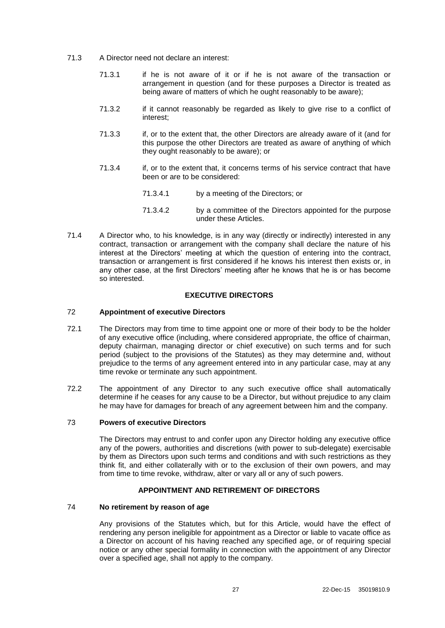- 71.3 A Director need not declare an interest:
	- 71.3.1 if he is not aware of it or if he is not aware of the transaction or arrangement in question (and for these purposes a Director is treated as being aware of matters of which he ought reasonably to be aware);
	- 71.3.2 if it cannot reasonably be regarded as likely to give rise to a conflict of interest;
	- 71.3.3 if, or to the extent that, the other Directors are already aware of it (and for this purpose the other Directors are treated as aware of anything of which they ought reasonably to be aware); or
	- 71.3.4 if, or to the extent that, it concerns terms of his service contract that have been or are to be considered:
		- 71.3.4.1 by a meeting of the Directors; or
		- 71.3.4.2 by a committee of the Directors appointed for the purpose under these Articles.
- 71.4 A Director who, to his knowledge, is in any way (directly or indirectly) interested in any contract, transaction or arrangement with the company shall declare the nature of his interest at the Directors' meeting at which the question of entering into the contract, transaction or arrangement is first considered if he knows his interest then exists or, in any other case, at the first Directors' meeting after he knows that he is or has become so interested.

# **EXECUTIVE DIRECTORS**

#### 72 **Appointment of executive Directors**

- 72.1 The Directors may from time to time appoint one or more of their body to be the holder of any executive office (including, where considered appropriate, the office of chairman, deputy chairman, managing director or chief executive) on such terms and for such period (subject to the provisions of the Statutes) as they may determine and, without prejudice to the terms of any agreement entered into in any particular case, may at any time revoke or terminate any such appointment.
- 72.2 The appointment of any Director to any such executive office shall automatically determine if he ceases for any cause to be a Director, but without prejudice to any claim he may have for damages for breach of any agreement between him and the company.

### 73 **Powers of executive Directors**

The Directors may entrust to and confer upon any Director holding any executive office any of the powers, authorities and discretions (with power to sub-delegate) exercisable by them as Directors upon such terms and conditions and with such restrictions as they think fit, and either collaterally with or to the exclusion of their own powers, and may from time to time revoke, withdraw, alter or vary all or any of such powers.

### **APPOINTMENT AND RETIREMENT OF DIRECTORS**

#### 74 **No retirement by reason of age**

Any provisions of the Statutes which, but for this Article, would have the effect of rendering any person ineligible for appointment as a Director or liable to vacate office as a Director on account of his having reached any specified age, or of requiring special notice or any other special formality in connection with the appointment of any Director over a specified age, shall not apply to the company.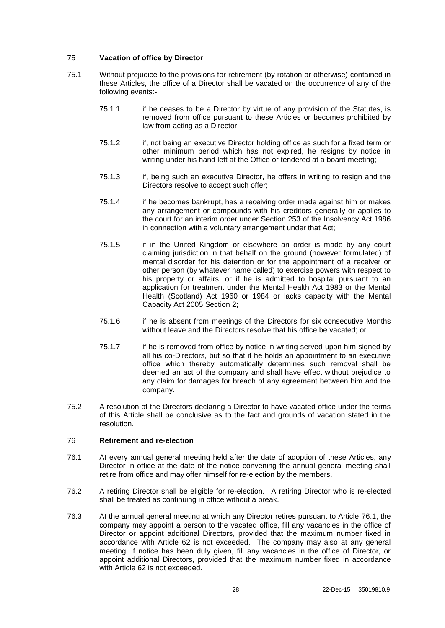### 75 **Vacation of office by Director**

- 75.1 Without prejudice to the provisions for retirement (by rotation or otherwise) contained in these Articles, the office of a Director shall be vacated on the occurrence of any of the following events:-
	- 75.1.1 if he ceases to be a Director by virtue of any provision of the Statutes, is removed from office pursuant to these Articles or becomes prohibited by law from acting as a Director;
	- 75.1.2 if, not being an executive Director holding office as such for a fixed term or other minimum period which has not expired, he resigns by notice in writing under his hand left at the Office or tendered at a board meeting:
	- 75.1.3 if, being such an executive Director, he offers in writing to resign and the Directors resolve to accept such offer;
	- 75.1.4 if he becomes bankrupt, has a receiving order made against him or makes any arrangement or compounds with his creditors generally or applies to the court for an interim order under Section 253 of the Insolvency Act 1986 in connection with a voluntary arrangement under that Act;
	- 75.1.5 if in the United Kingdom or elsewhere an order is made by any court claiming jurisdiction in that behalf on the ground (however formulated) of mental disorder for his detention or for the appointment of a receiver or other person (by whatever name called) to exercise powers with respect to his property or affairs, or if he is admitted to hospital pursuant to an application for treatment under the Mental Health Act 1983 or the Mental Health (Scotland) Act 1960 or 1984 or lacks capacity with the Mental Capacity Act 2005 Section 2;
	- 75.1.6 if he is absent from meetings of the Directors for six consecutive Months without leave and the Directors resolve that his office be vacated; or
	- 75.1.7 if he is removed from office by notice in writing served upon him signed by all his co-Directors, but so that if he holds an appointment to an executive office which thereby automatically determines such removal shall be deemed an act of the company and shall have effect without prejudice to any claim for damages for breach of any agreement between him and the company.
- 75.2 A resolution of the Directors declaring a Director to have vacated office under the terms of this Article shall be conclusive as to the fact and grounds of vacation stated in the resolution.

### 76 **Retirement and re-election**

- <span id="page-32-0"></span>76.1 At every annual general meeting held after the date of adoption of these Articles, any Director in office at the date of the notice convening the annual general meeting shall retire from office and may offer himself for re-election by the members.
- 76.2 A retiring Director shall be eligible for re-election. A retiring Director who is re-elected shall be treated as continuing in office without a break.
- 76.3 At the annual general meeting at which any Director retires pursuant to Article [76.1,](#page-32-0) the company may appoint a person to the vacated office, fill any vacancies in the office of Director or appoint additional Directors, provided that the maximum number fixed in accordance with Article [62](#page-27-0) is not exceeded. The company may also at any general meeting, if notice has been duly given, fill any vacancies in the office of Director, or appoint additional Directors, provided that the maximum number fixed in accordance with Article [62](#page-27-0) is not exceeded.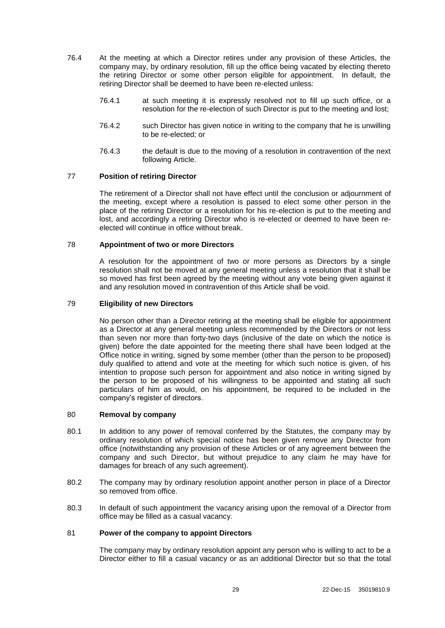- 76.4 At the meeting at which a Director retires under any provision of these Articles, the company may, by ordinary resolution, fill up the office being vacated by electing thereto the retiring Director or some other person eligible for appointment. In default, the retiring Director shall be deemed to have been re-elected unless:
	- 76.4.1 at such meeting it is expressly resolved not to fill up such office, or a resolution for the re-election of such Director is put to the meeting and lost;
	- 76.4.2 such Director has given notice in writing to the company that he is unwilling to be re-elected; or
	- 76.4.3 the default is due to the moving of a resolution in contravention of the next following Article.

#### 77 **Position of retiring Director**

The retirement of a Director shall not have effect until the conclusion or adjournment of the meeting, except where a resolution is passed to elect some other person in the place of the retiring Director or a resolution for his re-election is put to the meeting and lost, and accordingly a retiring Director who is re-elected or deemed to have been reelected will continue in office without break.

#### 78 **Appointment of two or more Directors**

A resolution for the appointment of two or more persons as Directors by a single resolution shall not be moved at any general meeting unless a resolution that it shall be so moved has first been agreed by the meeting without any vote being given against it and any resolution moved in contravention of this Article shall be void.

#### 79 **Eligibility of new Directors**

No person other than a Director retiring at the meeting shall be eligible for appointment as a Director at any general meeting unless recommended by the Directors or not less than seven nor more than forty-two days (inclusive of the date on which the notice is given) before the date appointed for the meeting there shall have been lodged at the Office notice in writing, signed by some member (other than the person to be proposed) duly qualified to attend and vote at the meeting for which such notice is given, of his intention to propose such person for appointment and also notice in writing signed by the person to be proposed of his willingness to be appointed and stating all such particulars of him as would, on his appointment, be required to be included in the company's register of directors.

#### 80 **Removal by company**

- 80.1 In addition to any power of removal conferred by the Statutes, the company may by ordinary resolution of which special notice has been given remove any Director from office (notwithstanding any provision of these Articles or of any agreement between the company and such Director, but without prejudice to any claim he may have for damages for breach of any such agreement).
- 80.2 The company may by ordinary resolution appoint another person in place of a Director so removed from office.
- 80.3 In default of such appointment the vacancy arising upon the removal of a Director from office may be filled as a casual vacancy.

### 81 **Power of the company to appoint Directors**

The company may by ordinary resolution appoint any person who is willing to act to be a Director either to fill a casual vacancy or as an additional Director but so that the total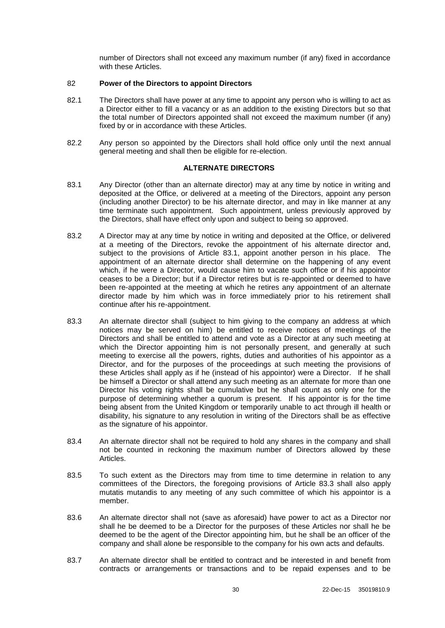number of Directors shall not exceed any maximum number (if any) fixed in accordance with these Articles.

### 82 **Power of the Directors to appoint Directors**

- 82.1 The Directors shall have power at any time to appoint any person who is willing to act as a Director either to fill a vacancy or as an addition to the existing Directors but so that the total number of Directors appointed shall not exceed the maximum number (if any) fixed by or in accordance with these Articles.
- 82.2 Any person so appointed by the Directors shall hold office only until the next annual general meeting and shall then be eligible for re-election.

### **ALTERNATE DIRECTORS**

- <span id="page-34-0"></span>83.1 Any Director (other than an alternate director) may at any time by notice in writing and deposited at the Office, or delivered at a meeting of the Directors, appoint any person (including another Director) to be his alternate director, and may in like manner at any time terminate such appointment. Such appointment, unless previously approved by the Directors, shall have effect only upon and subject to being so approved.
- 83.2 A Director may at any time by notice in writing and deposited at the Office, or delivered at a meeting of the Directors, revoke the appointment of his alternate director and, subject to the provisions of Article [83.1,](#page-34-0) appoint another person in his place. The appointment of an alternate director shall determine on the happening of any event which, if he were a Director, would cause him to vacate such office or if his appointor ceases to be a Director; but if a Director retires but is re-appointed or deemed to have been re-appointed at the meeting at which he retires any appointment of an alternate director made by him which was in force immediately prior to his retirement shall continue after his re-appointment.
- <span id="page-34-1"></span>83.3 An alternate director shall (subject to him giving to the company an address at which notices may be served on him) be entitled to receive notices of meetings of the Directors and shall be entitled to attend and vote as a Director at any such meeting at which the Director appointing him is not personally present, and generally at such meeting to exercise all the powers, rights, duties and authorities of his appointor as a Director, and for the purposes of the proceedings at such meeting the provisions of these Articles shall apply as if he (instead of his appointor) were a Director. If he shall be himself a Director or shall attend any such meeting as an alternate for more than one Director his voting rights shall be cumulative but he shall count as only one for the purpose of determining whether a quorum is present. If his appointor is for the time being absent from the United Kingdom or temporarily unable to act through ill health or disability, his signature to any resolution in writing of the Directors shall be as effective as the signature of his appointor.
- 83.4 An alternate director shall not be required to hold any shares in the company and shall not be counted in reckoning the maximum number of Directors allowed by these Articles.
- 83.5 To such extent as the Directors may from time to time determine in relation to any committees of the Directors, the foregoing provisions of Article [83.3](#page-34-1) shall also apply mutatis mutandis to any meeting of any such committee of which his appointor is a member.
- 83.6 An alternate director shall not (save as aforesaid) have power to act as a Director nor shall he be deemed to be a Director for the purposes of these Articles nor shall he be deemed to be the agent of the Director appointing him, but he shall be an officer of the company and shall alone be responsible to the company for his own acts and defaults.
- 83.7 An alternate director shall be entitled to contract and be interested in and benefit from contracts or arrangements or transactions and to be repaid expenses and to be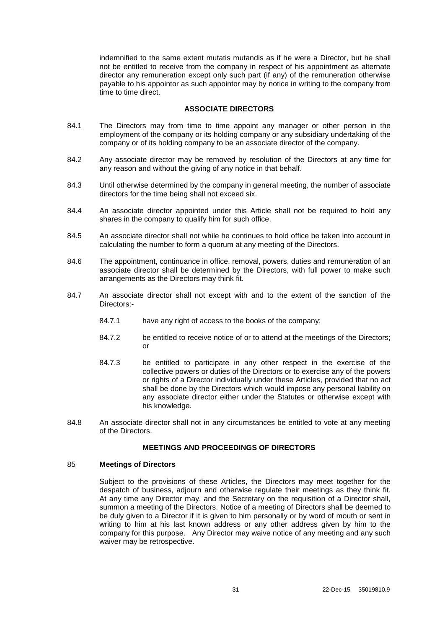indemnified to the same extent mutatis mutandis as if he were a Director, but he shall not be entitled to receive from the company in respect of his appointment as alternate director any remuneration except only such part (if any) of the remuneration otherwise payable to his appointor as such appointor may by notice in writing to the company from time to time direct.

### **ASSOCIATE DIRECTORS**

- 84.1 The Directors may from time to time appoint any manager or other person in the employment of the company or its holding company or any subsidiary undertaking of the company or of its holding company to be an associate director of the company.
- 84.2 Any associate director may be removed by resolution of the Directors at any time for any reason and without the giving of any notice in that behalf.
- 84.3 Until otherwise determined by the company in general meeting, the number of associate directors for the time being shall not exceed six.
- 84.4 An associate director appointed under this Article shall not be required to hold any shares in the company to qualify him for such office.
- 84.5 An associate director shall not while he continues to hold office be taken into account in calculating the number to form a quorum at any meeting of the Directors.
- 84.6 The appointment, continuance in office, removal, powers, duties and remuneration of an associate director shall be determined by the Directors, with full power to make such arrangements as the Directors may think fit.
- 84.7 An associate director shall not except with and to the extent of the sanction of the Directors:-
	- 84.7.1 have any right of access to the books of the company;
	- 84.7.2 be entitled to receive notice of or to attend at the meetings of the Directors; or
	- 84.7.3 be entitled to participate in any other respect in the exercise of the collective powers or duties of the Directors or to exercise any of the powers or rights of a Director individually under these Articles, provided that no act shall be done by the Directors which would impose any personal liability on any associate director either under the Statutes or otherwise except with his knowledge.
- 84.8 An associate director shall not in any circumstances be entitled to vote at any meeting of the Directors.

### **MEETINGS AND PROCEEDINGS OF DIRECTORS**

#### 85 **Meetings of Directors**

Subject to the provisions of these Articles, the Directors may meet together for the despatch of business, adjourn and otherwise regulate their meetings as they think fit. At any time any Director may, and the Secretary on the requisition of a Director shall, summon a meeting of the Directors. Notice of a meeting of Directors shall be deemed to be duly given to a Director if it is given to him personally or by word of mouth or sent in writing to him at his last known address or any other address given by him to the company for this purpose. Any Director may waive notice of any meeting and any such waiver may be retrospective.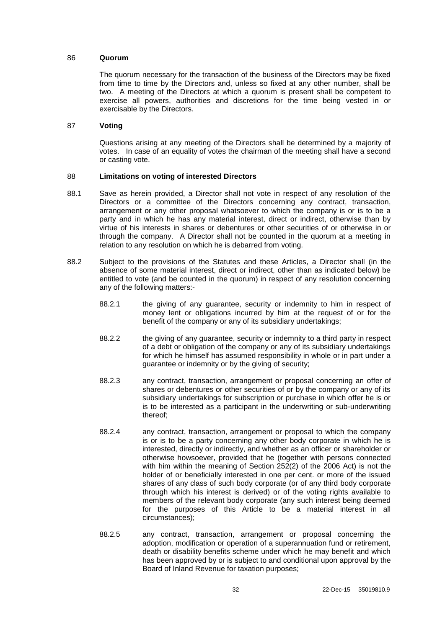#### 86 **Quorum**

The quorum necessary for the transaction of the business of the Directors may be fixed from time to time by the Directors and, unless so fixed at any other number, shall be two. A meeting of the Directors at which a quorum is present shall be competent to exercise all powers, authorities and discretions for the time being vested in or exercisable by the Directors.

#### 87 **Voting**

Questions arising at any meeting of the Directors shall be determined by a majority of votes. In case of an equality of votes the chairman of the meeting shall have a second or casting vote.

### 88 **Limitations on voting of interested Directors**

- <span id="page-36-0"></span>88.1 Save as herein provided, a Director shall not vote in respect of any resolution of the Directors or a committee of the Directors concerning any contract, transaction, arrangement or any other proposal whatsoever to which the company is or is to be a party and in which he has any material interest, direct or indirect, otherwise than by virtue of his interests in shares or debentures or other securities of or otherwise in or through the company. A Director shall not be counted in the quorum at a meeting in relation to any resolution on which he is debarred from voting.
- <span id="page-36-1"></span>88.2 Subject to the provisions of the Statutes and these Articles, a Director shall (in the absence of some material interest, direct or indirect, other than as indicated below) be entitled to vote (and be counted in the quorum) in respect of any resolution concerning any of the following matters:-
	- 88.2.1 the giving of any guarantee, security or indemnity to him in respect of money lent or obligations incurred by him at the request of or for the benefit of the company or any of its subsidiary undertakings;
	- 88.2.2 the giving of any guarantee, security or indemnity to a third party in respect of a debt or obligation of the company or any of its subsidiary undertakings for which he himself has assumed responsibility in whole or in part under a guarantee or indemnity or by the giving of security;
	- 88.2.3 any contract, transaction, arrangement or proposal concerning an offer of shares or debentures or other securities of or by the company or any of its subsidiary undertakings for subscription or purchase in which offer he is or is to be interested as a participant in the underwriting or sub-underwriting thereof;
	- 88.2.4 any contract, transaction, arrangement or proposal to which the company is or is to be a party concerning any other body corporate in which he is interested, directly or indirectly, and whether as an officer or shareholder or otherwise howsoever, provided that he (together with persons connected with him within the meaning of Section 252(2) of the 2006 Act) is not the holder of or beneficially interested in one per cent. or more of the issued shares of any class of such body corporate (or of any third body corporate through which his interest is derived) or of the voting rights available to members of the relevant body corporate (any such interest being deemed for the purposes of this Article to be a material interest in all circumstances);
	- 88.2.5 any contract, transaction, arrangement or proposal concerning the adoption, modification or operation of a superannuation fund or retirement, death or disability benefits scheme under which he may benefit and which has been approved by or is subject to and conditional upon approval by the Board of Inland Revenue for taxation purposes;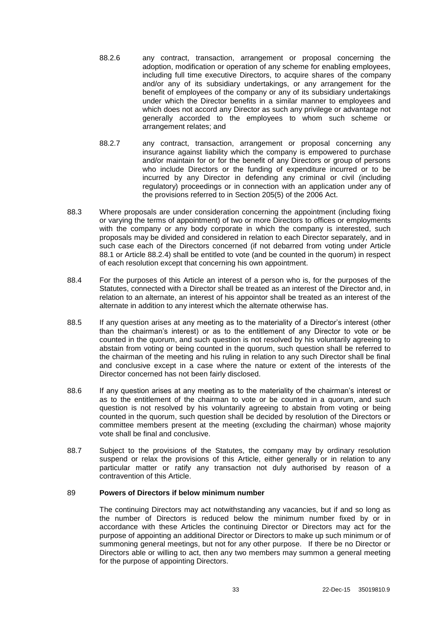- 88.2.6 any contract, transaction, arrangement or proposal concerning the adoption, modification or operation of any scheme for enabling employees, including full time executive Directors, to acquire shares of the company and/or any of its subsidiary undertakings, or any arrangement for the benefit of employees of the company or any of its subsidiary undertakings under which the Director benefits in a similar manner to employees and which does not accord any Director as such any privilege or advantage not generally accorded to the employees to whom such scheme or arrangement relates; and
- 88.2.7 any contract, transaction, arrangement or proposal concerning any insurance against liability which the company is empowered to purchase and/or maintain for or for the benefit of any Directors or group of persons who include Directors or the funding of expenditure incurred or to be incurred by any Director in defending any criminal or civil (including regulatory) proceedings or in connection with an application under any of the provisions referred to in Section 205(5) of the 2006 Act.
- 88.3 Where proposals are under consideration concerning the appointment (including fixing or varying the terms of appointment) of two or more Directors to offices or employments with the company or any body corporate in which the company is interested, such proposals may be divided and considered in relation to each Director separately, and in such case each of the Directors concerned (if not debarred from voting under Article [88.1](#page-36-0) or Article [88.2.4\)](#page-36-1) shall be entitled to vote (and be counted in the quorum) in respect of each resolution except that concerning his own appointment.
- 88.4 For the purposes of this Article an interest of a person who is, for the purposes of the Statutes, connected with a Director shall be treated as an interest of the Director and, in relation to an alternate, an interest of his appointor shall be treated as an interest of the alternate in addition to any interest which the alternate otherwise has.
- 88.5 If any question arises at any meeting as to the materiality of a Director's interest (other than the chairman's interest) or as to the entitlement of any Director to vote or be counted in the quorum, and such question is not resolved by his voluntarily agreeing to abstain from voting or being counted in the quorum, such question shall be referred to the chairman of the meeting and his ruling in relation to any such Director shall be final and conclusive except in a case where the nature or extent of the interests of the Director concerned has not been fairly disclosed.
- 88.6 If any question arises at any meeting as to the materiality of the chairman's interest or as to the entitlement of the chairman to vote or be counted in a quorum, and such question is not resolved by his voluntarily agreeing to abstain from voting or being counted in the quorum, such question shall be decided by resolution of the Directors or committee members present at the meeting (excluding the chairman) whose majority vote shall be final and conclusive.
- 88.7 Subject to the provisions of the Statutes, the company may by ordinary resolution suspend or relax the provisions of this Article, either generally or in relation to any particular matter or ratify any transaction not duly authorised by reason of a contravention of this Article.

#### 89 **Powers of Directors if below minimum number**

The continuing Directors may act notwithstanding any vacancies, but if and so long as the number of Directors is reduced below the minimum number fixed by or in accordance with these Articles the continuing Director or Directors may act for the purpose of appointing an additional Director or Directors to make up such minimum or of summoning general meetings, but not for any other purpose. If there be no Director or Directors able or willing to act, then any two members may summon a general meeting for the purpose of appointing Directors.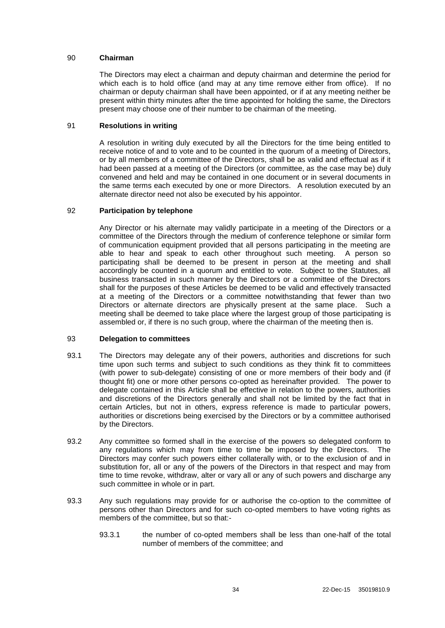### 90 **Chairman**

The Directors may elect a chairman and deputy chairman and determine the period for which each is to hold office (and may at any time remove either from office). If no chairman or deputy chairman shall have been appointed, or if at any meeting neither be present within thirty minutes after the time appointed for holding the same, the Directors present may choose one of their number to be chairman of the meeting.

### 91 **Resolutions in writing**

A resolution in writing duly executed by all the Directors for the time being entitled to receive notice of and to vote and to be counted in the quorum of a meeting of Directors, or by all members of a committee of the Directors, shall be as valid and effectual as if it had been passed at a meeting of the Directors (or committee, as the case may be) duly convened and held and may be contained in one document or in several documents in the same terms each executed by one or more Directors. A resolution executed by an alternate director need not also be executed by his appointor.

### 92 **Participation by telephone**

Any Director or his alternate may validly participate in a meeting of the Directors or a committee of the Directors through the medium of conference telephone or similar form of communication equipment provided that all persons participating in the meeting are able to hear and speak to each other throughout such meeting. A person so participating shall be deemed to be present in person at the meeting and shall accordingly be counted in a quorum and entitled to vote. Subject to the Statutes, all business transacted in such manner by the Directors or a committee of the Directors shall for the purposes of these Articles be deemed to be valid and effectively transacted at a meeting of the Directors or a committee notwithstanding that fewer than two Directors or alternate directors are physically present at the same place. Such a meeting shall be deemed to take place where the largest group of those participating is assembled or, if there is no such group, where the chairman of the meeting then is.

### 93 **Delegation to committees**

- 93.1 The Directors may delegate any of their powers, authorities and discretions for such time upon such terms and subject to such conditions as they think fit to committees (with power to sub-delegate) consisting of one or more members of their body and (if thought fit) one or more other persons co-opted as hereinafter provided. The power to delegate contained in this Article shall be effective in relation to the powers, authorities and discretions of the Directors generally and shall not be limited by the fact that in certain Articles, but not in others, express reference is made to particular powers, authorities or discretions being exercised by the Directors or by a committee authorised by the Directors.
- 93.2 Any committee so formed shall in the exercise of the powers so delegated conform to any regulations which may from time to time be imposed by the Directors. The Directors may confer such powers either collaterally with, or to the exclusion of and in substitution for, all or any of the powers of the Directors in that respect and may from time to time revoke, withdraw, alter or vary all or any of such powers and discharge any such committee in whole or in part.
- 93.3 Any such regulations may provide for or authorise the co-option to the committee of persons other than Directors and for such co-opted members to have voting rights as members of the committee, but so that:-
	- 93.3.1 the number of co-opted members shall be less than one-half of the total number of members of the committee; and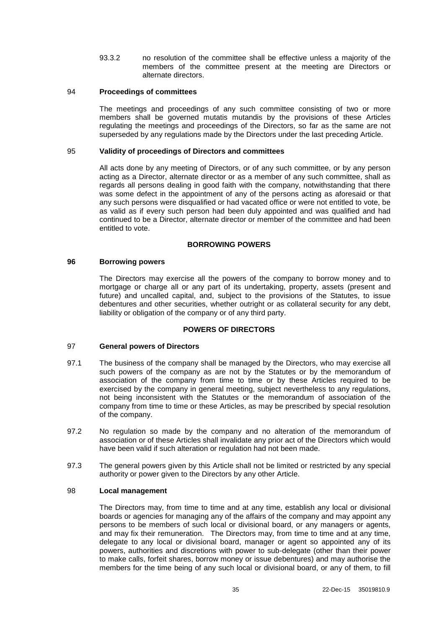93.3.2 no resolution of the committee shall be effective unless a majority of the members of the committee present at the meeting are Directors or alternate directors.

#### 94 **Proceedings of committees**

The meetings and proceedings of any such committee consisting of two or more members shall be governed mutatis mutandis by the provisions of these Articles regulating the meetings and proceedings of the Directors, so far as the same are not superseded by any regulations made by the Directors under the last preceding Article.

### 95 **Validity of proceedings of Directors and committees**

All acts done by any meeting of Directors, or of any such committee, or by any person acting as a Director, alternate director or as a member of any such committee, shall as regards all persons dealing in good faith with the company, notwithstanding that there was some defect in the appointment of any of the persons acting as aforesaid or that any such persons were disqualified or had vacated office or were not entitled to vote, be as valid as if every such person had been duly appointed and was qualified and had continued to be a Director, alternate director or member of the committee and had been entitled to vote.

### **BORROWING POWERS**

### **96 Borrowing powers**

The Directors may exercise all the powers of the company to borrow money and to mortgage or charge all or any part of its undertaking, property, assets (present and future) and uncalled capital, and, subject to the provisions of the Statutes, to issue debentures and other securities, whether outright or as collateral security for any debt, liability or obligation of the company or of any third party.

## **POWERS OF DIRECTORS**

## 97 **General powers of Directors**

- 97.1 The business of the company shall be managed by the Directors, who may exercise all such powers of the company as are not by the Statutes or by the memorandum of association of the company from time to time or by these Articles required to be exercised by the company in general meeting, subject nevertheless to any regulations, not being inconsistent with the Statutes or the memorandum of association of the company from time to time or these Articles, as may be prescribed by special resolution of the company.
- 97.2 No regulation so made by the company and no alteration of the memorandum of association or of these Articles shall invalidate any prior act of the Directors which would have been valid if such alteration or regulation had not been made.
- 97.3 The general powers given by this Article shall not be limited or restricted by any special authority or power given to the Directors by any other Article.

#### 98 **Local management**

The Directors may, from time to time and at any time, establish any local or divisional boards or agencies for managing any of the affairs of the company and may appoint any persons to be members of such local or divisional board, or any managers or agents, and may fix their remuneration. The Directors may, from time to time and at any time, delegate to any local or divisional board, manager or agent so appointed any of its powers, authorities and discretions with power to sub-delegate (other than their power to make calls, forfeit shares, borrow money or issue debentures) and may authorise the members for the time being of any such local or divisional board, or any of them, to fill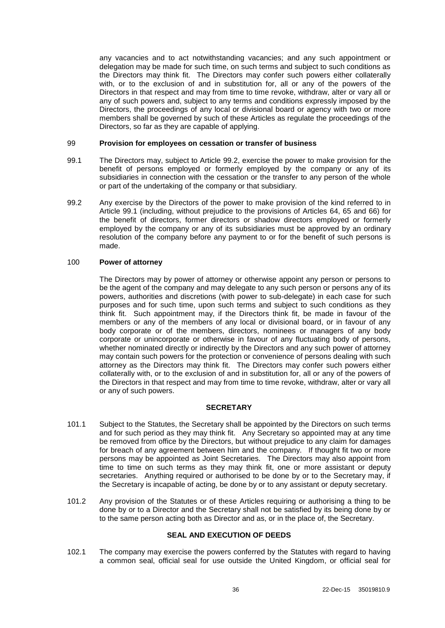any vacancies and to act notwithstanding vacancies; and any such appointment or delegation may be made for such time, on such terms and subject to such conditions as the Directors may think fit. The Directors may confer such powers either collaterally with, or to the exclusion of and in substitution for, all or any of the powers of the Directors in that respect and may from time to time revoke, withdraw, alter or vary all or any of such powers and, subject to any terms and conditions expressly imposed by the Directors, the proceedings of any local or divisional board or agency with two or more members shall be governed by such of these Articles as regulate the proceedings of the Directors, so far as they are capable of applying.

### 99 **Provision for employees on cessation or transfer of business**

- <span id="page-40-1"></span>99.1 The Directors may, subject to Article [99.2,](#page-40-0) exercise the power to make provision for the benefit of persons employed or formerly employed by the company or any of its subsidiaries in connection with the cessation or the transfer to any person of the whole or part of the undertaking of the company or that subsidiary.
- <span id="page-40-0"></span>99.2 Any exercise by the Directors of the power to make provision of the kind referred to in Article [99.1](#page-40-1) (including, without prejudice to the provisions of Articles [64,](#page-27-1) [65](#page-28-0) and [66\)](#page-28-1) for the benefit of directors, former directors or shadow directors employed or formerly employed by the company or any of its subsidiaries must be approved by an ordinary resolution of the company before any payment to or for the benefit of such persons is made.

### 100 **Power of attorney**

The Directors may by power of attorney or otherwise appoint any person or persons to be the agent of the company and may delegate to any such person or persons any of its powers, authorities and discretions (with power to sub-delegate) in each case for such purposes and for such time, upon such terms and subject to such conditions as they think fit. Such appointment may, if the Directors think fit, be made in favour of the members or any of the members of any local or divisional board, or in favour of any body corporate or of the members, directors, nominees or managers of any body corporate or unincorporate or otherwise in favour of any fluctuating body of persons, whether nominated directly or indirectly by the Directors and any such power of attorney may contain such powers for the protection or convenience of persons dealing with such attorney as the Directors may think fit. The Directors may confer such powers either collaterally with, or to the exclusion of and in substitution for, all or any of the powers of the Directors in that respect and may from time to time revoke, withdraw, alter or vary all or any of such powers.

## **SECRETARY**

- 101.1 Subject to the Statutes, the Secretary shall be appointed by the Directors on such terms and for such period as they may think fit. Any Secretary so appointed may at any time be removed from office by the Directors, but without prejudice to any claim for damages for breach of any agreement between him and the company. If thought fit two or more persons may be appointed as Joint Secretaries. The Directors may also appoint from time to time on such terms as they may think fit, one or more assistant or deputy secretaries. Anything required or authorised to be done by or to the Secretary may, if the Secretary is incapable of acting, be done by or to any assistant or deputy secretary.
- 101.2 Any provision of the Statutes or of these Articles requiring or authorising a thing to be done by or to a Director and the Secretary shall not be satisfied by its being done by or to the same person acting both as Director and as, or in the place of, the Secretary.

# **SEAL AND EXECUTION OF DEEDS**

102.1 The company may exercise the powers conferred by the Statutes with regard to having a common seal, official seal for use outside the United Kingdom, or official seal for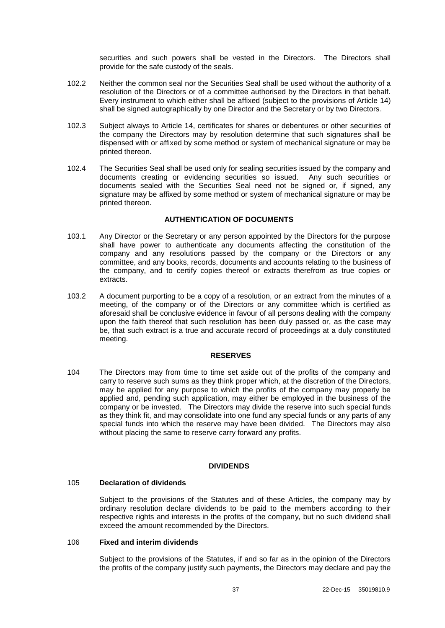securities and such powers shall be vested in the Directors. The Directors shall provide for the safe custody of the seals.

- 102.2 Neither the common seal nor the Securities Seal shall be used without the authority of a resolution of the Directors or of a committee authorised by the Directors in that behalf. Every instrument to which either shall be affixed (subject to the provisions of Article [14\)](#page-10-0) shall be signed autographically by one Director and the Secretary or by two Directors.
- 102.3 Subject always to Article [14,](#page-10-0) certificates for shares or debentures or other securities of the company the Directors may by resolution determine that such signatures shall be dispensed with or affixed by some method or system of mechanical signature or may be printed thereon.
- 102.4 The Securities Seal shall be used only for sealing securities issued by the company and documents creating or evidencing securities so issued. Any such securities or documents sealed with the Securities Seal need not be signed or, if signed, any signature may be affixed by some method or system of mechanical signature or may be printed thereon.

# **AUTHENTICATION OF DOCUMENTS**

- 103.1 Any Director or the Secretary or any person appointed by the Directors for the purpose shall have power to authenticate any documents affecting the constitution of the company and any resolutions passed by the company or the Directors or any committee, and any books, records, documents and accounts relating to the business of the company, and to certify copies thereof or extracts therefrom as true copies or extracts.
- 103.2 A document purporting to be a copy of a resolution, or an extract from the minutes of a meeting, of the company or of the Directors or any committee which is certified as aforesaid shall be conclusive evidence in favour of all persons dealing with the company upon the faith thereof that such resolution has been duly passed or, as the case may be, that such extract is a true and accurate record of proceedings at a duly constituted meeting.

### **RESERVES**

104 The Directors may from time to time set aside out of the profits of the company and carry to reserve such sums as they think proper which, at the discretion of the Directors, may be applied for any purpose to which the profits of the company may properly be applied and, pending such application, may either be employed in the business of the company or be invested. The Directors may divide the reserve into such special funds as they think fit, and may consolidate into one fund any special funds or any parts of any special funds into which the reserve may have been divided. The Directors may also without placing the same to reserve carry forward any profits.

### **DIVIDENDS**

## <span id="page-41-0"></span>105 **Declaration of dividends**

Subject to the provisions of the Statutes and of these Articles, the company may by ordinary resolution declare dividends to be paid to the members according to their respective rights and interests in the profits of the company, but no such dividend shall exceed the amount recommended by the Directors.

### <span id="page-41-1"></span>106 **Fixed and interim dividends**

Subject to the provisions of the Statutes, if and so far as in the opinion of the Directors the profits of the company justify such payments, the Directors may declare and pay the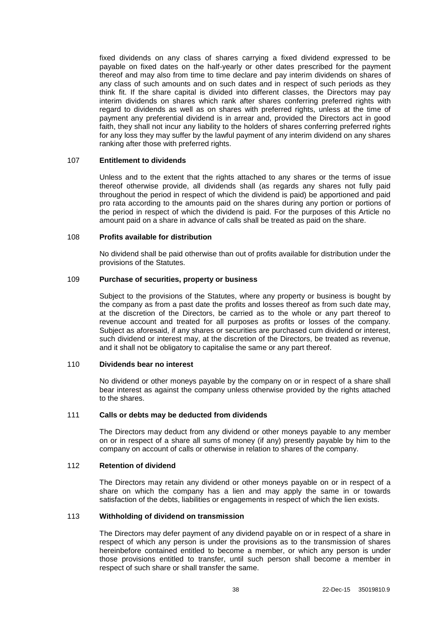fixed dividends on any class of shares carrying a fixed dividend expressed to be payable on fixed dates on the half-yearly or other dates prescribed for the payment thereof and may also from time to time declare and pay interim dividends on shares of any class of such amounts and on such dates and in respect of such periods as they think fit. If the share capital is divided into different classes, the Directors may pay interim dividends on shares which rank after shares conferring preferred rights with regard to dividends as well as on shares with preferred rights, unless at the time of payment any preferential dividend is in arrear and, provided the Directors act in good faith, they shall not incur any liability to the holders of shares conferring preferred rights for any loss they may suffer by the lawful payment of any interim dividend on any shares ranking after those with preferred rights.

### 107 **Entitlement to dividends**

Unless and to the extent that the rights attached to any shares or the terms of issue thereof otherwise provide, all dividends shall (as regards any shares not fully paid throughout the period in respect of which the dividend is paid) be apportioned and paid pro rata according to the amounts paid on the shares during any portion or portions of the period in respect of which the dividend is paid. For the purposes of this Article no amount paid on a share in advance of calls shall be treated as paid on the share.

#### 108 **Profits available for distribution**

No dividend shall be paid otherwise than out of profits available for distribution under the provisions of the Statutes.

#### 109 **Purchase of securities, property or business**

Subject to the provisions of the Statutes, where any property or business is bought by the company as from a past date the profits and losses thereof as from such date may, at the discretion of the Directors, be carried as to the whole or any part thereof to revenue account and treated for all purposes as profits or losses of the company. Subject as aforesaid, if any shares or securities are purchased cum dividend or interest, such dividend or interest may, at the discretion of the Directors, be treated as revenue, and it shall not be obligatory to capitalise the same or any part thereof.

#### 110 **Dividends bear no interest**

No dividend or other moneys payable by the company on or in respect of a share shall bear interest as against the company unless otherwise provided by the rights attached to the shares.

### 111 **Calls or debts may be deducted from dividends**

The Directors may deduct from any dividend or other moneys payable to any member on or in respect of a share all sums of money (if any) presently payable by him to the company on account of calls or otherwise in relation to shares of the company.

### 112 **Retention of dividend**

The Directors may retain any dividend or other moneys payable on or in respect of a share on which the company has a lien and may apply the same in or towards satisfaction of the debts, liabilities or engagements in respect of which the lien exists.

#### 113 **Withholding of dividend on transmission**

The Directors may defer payment of any dividend payable on or in respect of a share in respect of which any person is under the provisions as to the transmission of shares hereinbefore contained entitled to become a member, or which any person is under those provisions entitled to transfer, until such person shall become a member in respect of such share or shall transfer the same.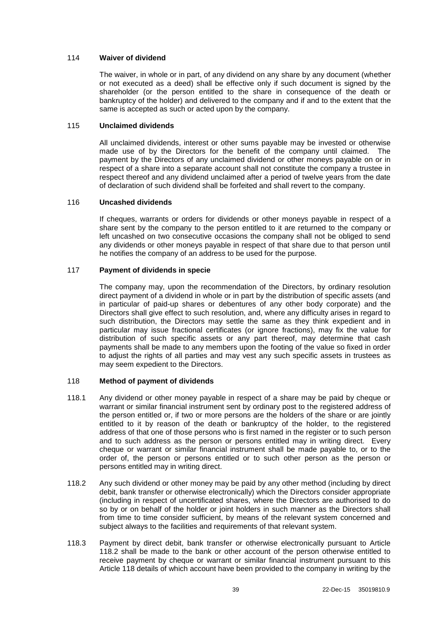### 114 **Waiver of dividend**

The waiver, in whole or in part, of any dividend on any share by any document (whether or not executed as a deed) shall be effective only if such document is signed by the shareholder (or the person entitled to the share in consequence of the death or bankruptcy of the holder) and delivered to the company and if and to the extent that the same is accepted as such or acted upon by the company.

### 115 **Unclaimed dividends**

All unclaimed dividends, interest or other sums payable may be invested or otherwise made use of by the Directors for the benefit of the company until claimed. The payment by the Directors of any unclaimed dividend or other moneys payable on or in respect of a share into a separate account shall not constitute the company a trustee in respect thereof and any dividend unclaimed after a period of twelve years from the date of declaration of such dividend shall be forfeited and shall revert to the company.

### 116 **Uncashed dividends**

If cheques, warrants or orders for dividends or other moneys payable in respect of a share sent by the company to the person entitled to it are returned to the company or left uncashed on two consecutive occasions the company shall not be obliged to send any dividends or other moneys payable in respect of that share due to that person until he notifies the company of an address to be used for the purpose.

### 117 **Payment of dividends in specie**

The company may, upon the recommendation of the Directors, by ordinary resolution direct payment of a dividend in whole or in part by the distribution of specific assets (and in particular of paid-up shares or debentures of any other body corporate) and the Directors shall give effect to such resolution, and, where any difficulty arises in regard to such distribution, the Directors may settle the same as they think expedient and in particular may issue fractional certificates (or ignore fractions), may fix the value for distribution of such specific assets or any part thereof, may determine that cash payments shall be made to any members upon the footing of the value so fixed in order to adjust the rights of all parties and may vest any such specific assets in trustees as may seem expedient to the Directors.

## <span id="page-43-1"></span>118 **Method of payment of dividends**

- 118.1 Any dividend or other money payable in respect of a share may be paid by cheque or warrant or similar financial instrument sent by ordinary post to the registered address of the person entitled or, if two or more persons are the holders of the share or are jointly entitled to it by reason of the death or bankruptcy of the holder, to the registered address of that one of those persons who is first named in the register or to such person and to such address as the person or persons entitled may in writing direct. Every cheque or warrant or similar financial instrument shall be made payable to, or to the order of, the person or persons entitled or to such other person as the person or persons entitled may in writing direct.
- <span id="page-43-0"></span>118.2 Any such dividend or other money may be paid by any other method (including by direct debit, bank transfer or otherwise electronically) which the Directors consider appropriate (including in respect of uncertificated shares, where the Directors are authorised to do so by or on behalf of the holder or joint holders in such manner as the Directors shall from time to time consider sufficient, by means of the relevant system concerned and subject always to the facilities and requirements of that relevant system.
- 118.3 Payment by direct debit, bank transfer or otherwise electronically pursuant to Article [118.2](#page-43-0) shall be made to the bank or other account of the person otherwise entitled to receive payment by cheque or warrant or similar financial instrument pursuant to this Article [118](#page-43-1) details of which account have been provided to the company in writing by the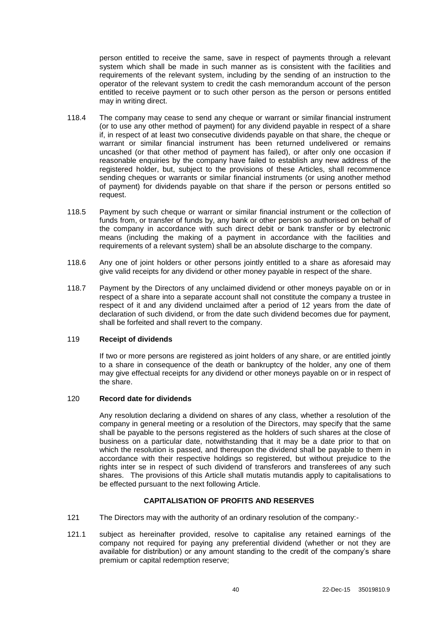person entitled to receive the same, save in respect of payments through a relevant system which shall be made in such manner as is consistent with the facilities and requirements of the relevant system, including by the sending of an instruction to the operator of the relevant system to credit the cash memorandum account of the person entitled to receive payment or to such other person as the person or persons entitled may in writing direct.

- 118.4 The company may cease to send any cheque or warrant or similar financial instrument (or to use any other method of payment) for any dividend payable in respect of a share if, in respect of at least two consecutive dividends payable on that share, the cheque or warrant or similar financial instrument has been returned undelivered or remains uncashed (or that other method of payment has failed), or after only one occasion if reasonable enquiries by the company have failed to establish any new address of the registered holder, but, subject to the provisions of these Articles, shall recommence sending cheques or warrants or similar financial instruments (or using another method of payment) for dividends payable on that share if the person or persons entitled so request.
- 118.5 Payment by such cheque or warrant or similar financial instrument or the collection of funds from, or transfer of funds by, any bank or other person so authorised on behalf of the company in accordance with such direct debit or bank transfer or by electronic means (including the making of a payment in accordance with the facilities and requirements of a relevant system) shall be an absolute discharge to the company.
- 118.6 Any one of joint holders or other persons jointly entitled to a share as aforesaid may give valid receipts for any dividend or other money payable in respect of the share.
- 118.7 Payment by the Directors of any unclaimed dividend or other moneys payable on or in respect of a share into a separate account shall not constitute the company a trustee in respect of it and any dividend unclaimed after a period of 12 years from the date of declaration of such dividend, or from the date such dividend becomes due for payment, shall be forfeited and shall revert to the company.

#### 119 **Receipt of dividends**

If two or more persons are registered as joint holders of any share, or are entitled jointly to a share in consequence of the death or bankruptcy of the holder, any one of them may give effectual receipts for any dividend or other moneys payable on or in respect of the share.

#### 120 **Record date for dividends**

Any resolution declaring a dividend on shares of any class, whether a resolution of the company in general meeting or a resolution of the Directors, may specify that the same shall be payable to the persons registered as the holders of such shares at the close of business on a particular date, notwithstanding that it may be a date prior to that on which the resolution is passed, and thereupon the dividend shall be payable to them in accordance with their respective holdings so registered, but without prejudice to the rights inter se in respect of such dividend of transferors and transferees of any such shares. The provisions of this Article shall mutatis mutandis apply to capitalisations to be effected pursuant to the next following Article.

## **CAPITALISATION OF PROFITS AND RESERVES**

- 121 The Directors may with the authority of an ordinary resolution of the company:-
- 121.1 subject as hereinafter provided, resolve to capitalise any retained earnings of the company not required for paying any preferential dividend (whether or not they are available for distribution) or any amount standing to the credit of the company's share premium or capital redemption reserve;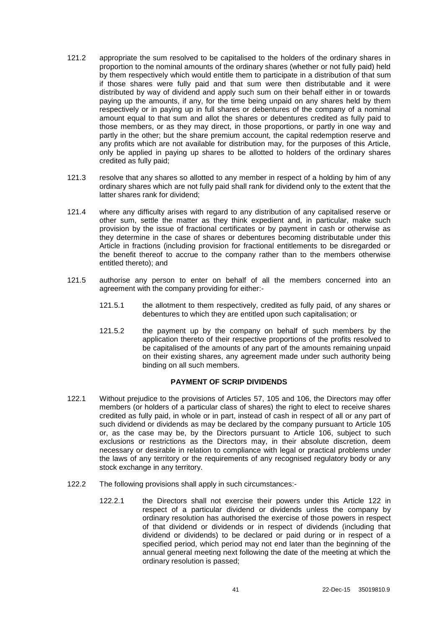- <span id="page-45-0"></span>121.2 appropriate the sum resolved to be capitalised to the holders of the ordinary shares in proportion to the nominal amounts of the ordinary shares (whether or not fully paid) held by them respectively which would entitle them to participate in a distribution of that sum if those shares were fully paid and that sum were then distributable and it were distributed by way of dividend and apply such sum on their behalf either in or towards paying up the amounts, if any, for the time being unpaid on any shares held by them respectively or in paying up in full shares or debentures of the company of a nominal amount equal to that sum and allot the shares or debentures credited as fully paid to those members, or as they may direct, in those proportions, or partly in one way and partly in the other; but the share premium account, the capital redemption reserve and any profits which are not available for distribution may, for the purposes of this Article, only be applied in paying up shares to be allotted to holders of the ordinary shares credited as fully paid;
- 121.3 resolve that any shares so allotted to any member in respect of a holding by him of any ordinary shares which are not fully paid shall rank for dividend only to the extent that the latter shares rank for dividend;
- 121.4 where any difficulty arises with regard to any distribution of any capitalised reserve or other sum, settle the matter as they think expedient and, in particular, make such provision by the issue of fractional certificates or by payment in cash or otherwise as they determine in the case of shares or debentures becoming distributable under this Article in fractions (including provision for fractional entitlements to be disregarded or the benefit thereof to accrue to the company rather than to the members otherwise entitled thereto); and
- 121.5 authorise any person to enter on behalf of all the members concerned into an agreement with the company providing for either:-
	- 121.5.1 the allotment to them respectively, credited as fully paid, of any shares or debentures to which they are entitled upon such capitalisation; or
	- 121.5.2 the payment up by the company on behalf of such members by the application thereto of their respective proportions of the profits resolved to be capitalised of the amounts of any part of the amounts remaining unpaid on their existing shares, any agreement made under such authority being binding on all such members.

## **PAYMENT OF SCRIP DIVIDENDS**

- 122.1 Without prejudice to the provisions of Articles [57,](#page-23-0) [105](#page-41-0) and [106,](#page-41-1) the Directors may offer members (or holders of a particular class of shares) the right to elect to receive shares credited as fully paid, in whole or in part, instead of cash in respect of all or any part of such dividend or dividends as may be declared by the company pursuant to Article [105](#page-41-0) or, as the case may be, by the Directors pursuant to Article [106,](#page-41-1) subject to such exclusions or restrictions as the Directors may, in their absolute discretion, deem necessary or desirable in relation to compliance with legal or practical problems under the laws of any territory or the requirements of any recognised regulatory body or any stock exchange in any territory.
- 122.2 The following provisions shall apply in such circumstances:-
	- 122.2.1 the Directors shall not exercise their powers under this Article [122](#page-45-0) in respect of a particular dividend or dividends unless the company by ordinary resolution has authorised the exercise of those powers in respect of that dividend or dividends or in respect of dividends (including that dividend or dividends) to be declared or paid during or in respect of a specified period, which period may not end later than the beginning of the annual general meeting next following the date of the meeting at which the ordinary resolution is passed;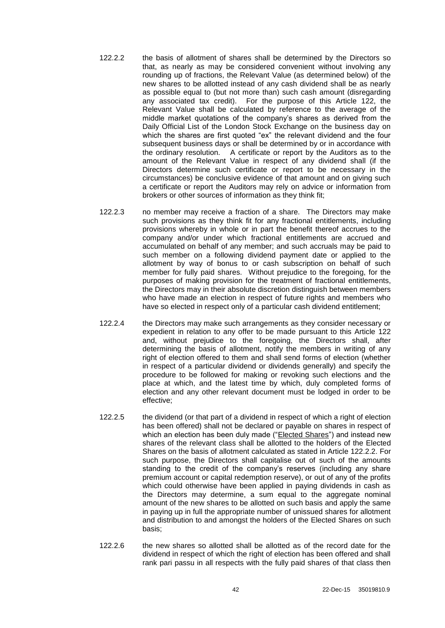- <span id="page-46-0"></span>122.2.2 the basis of allotment of shares shall be determined by the Directors so that, as nearly as may be considered convenient without involving any rounding up of fractions, the Relevant Value (as determined below) of the new shares to be allotted instead of any cash dividend shall be as nearly as possible equal to (but not more than) such cash amount (disregarding any associated tax credit). For the purpose of this Article [122,](#page-45-0) the Relevant Value shall be calculated by reference to the average of the middle market quotations of the company's shares as derived from the Daily Official List of the London Stock Exchange on the business day on which the shares are first quoted "ex" the relevant dividend and the four subsequent business days or shall be determined by or in accordance with the ordinary resolution. A certificate or report by the Auditors as to the amount of the Relevant Value in respect of any dividend shall (if the Directors determine such certificate or report to be necessary in the circumstances) be conclusive evidence of that amount and on giving such a certificate or report the Auditors may rely on advice or information from brokers or other sources of information as they think fit;
- 122.2.3 no member may receive a fraction of a share. The Directors may make such provisions as they think fit for any fractional entitlements, including provisions whereby in whole or in part the benefit thereof accrues to the company and/or under which fractional entitlements are accrued and accumulated on behalf of any member; and such accruals may be paid to such member on a following dividend payment date or applied to the allotment by way of bonus to or cash subscription on behalf of such member for fully paid shares. Without prejudice to the foregoing, for the purposes of making provision for the treatment of fractional entitlements, the Directors may in their absolute discretion distinguish between members who have made an election in respect of future rights and members who have so elected in respect only of a particular cash dividend entitlement;
- 122.2.4 the Directors may make such arrangements as they consider necessary or expedient in relation to any offer to be made pursuant to this Article [122](#page-45-0) and, without prejudice to the foregoing, the Directors shall, after determining the basis of allotment, notify the members in writing of any right of election offered to them and shall send forms of election (whether in respect of a particular dividend or dividends generally) and specify the procedure to be followed for making or revoking such elections and the place at which, and the latest time by which, duly completed forms of election and any other relevant document must be lodged in order to be effective;
- 122.2.5 the dividend (or that part of a dividend in respect of which a right of election has been offered) shall not be declared or payable on shares in respect of which an election has been duly made ("Elected Shares") and instead new shares of the relevant class shall be allotted to the holders of the Elected Shares on the basis of allotment calculated as stated in Article [122.2.2.](#page-46-0) For such purpose, the Directors shall capitalise out of such of the amounts standing to the credit of the company's reserves (including any share premium account or capital redemption reserve), or out of any of the profits which could otherwise have been applied in paying dividends in cash as the Directors may determine, a sum equal to the aggregate nominal amount of the new shares to be allotted on such basis and apply the same in paying up in full the appropriate number of unissued shares for allotment and distribution to and amongst the holders of the Elected Shares on such basis;
- 122.2.6 the new shares so allotted shall be allotted as of the record date for the dividend in respect of which the right of election has been offered and shall rank pari passu in all respects with the fully paid shares of that class then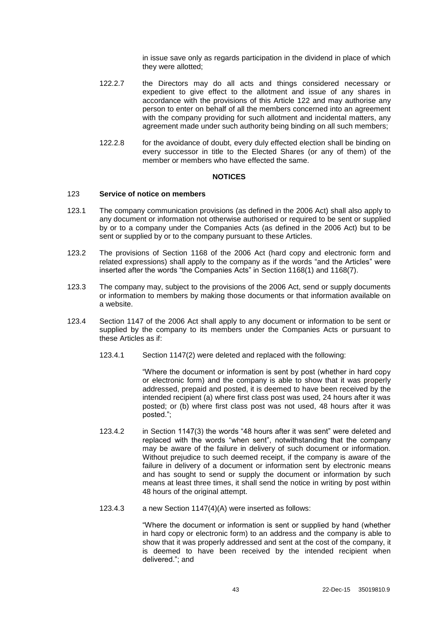in issue save only as regards participation in the dividend in place of which they were allotted;

- 122.2.7 the Directors may do all acts and things considered necessary or expedient to give effect to the allotment and issue of any shares in accordance with the provisions of this Article [122](#page-45-0) and may authorise any person to enter on behalf of all the members concerned into an agreement with the company providing for such allotment and incidental matters, any agreement made under such authority being binding on all such members;
- 122.2.8 for the avoidance of doubt, every duly effected election shall be binding on every successor in title to the Elected Shares (or any of them) of the member or members who have effected the same.

#### **NOTICES**

#### 123 **Service of notice on members**

- 123.1 The company communication provisions (as defined in the 2006 Act) shall also apply to any document or information not otherwise authorised or required to be sent or supplied by or to a company under the Companies Acts (as defined in the 2006 Act) but to be sent or supplied by or to the company pursuant to these Articles.
- 123.2 The provisions of Section 1168 of the 2006 Act (hard copy and electronic form and related expressions) shall apply to the company as if the words "and the Articles" were inserted after the words "the Companies Acts" in Section 1168(1) and 1168(7).
- 123.3 The company may, subject to the provisions of the 2006 Act, send or supply documents or information to members by making those documents or that information available on a website.
- 123.4 Section 1147 of the 2006 Act shall apply to any document or information to be sent or supplied by the company to its members under the Companies Acts or pursuant to these Articles as if:
	- 123.4.1 Section 1147(2) were deleted and replaced with the following:

"Where the document or information is sent by post (whether in hard copy or electronic form) and the company is able to show that it was properly addressed, prepaid and posted, it is deemed to have been received by the intended recipient (a) where first class post was used, 24 hours after it was posted; or (b) where first class post was not used, 48 hours after it was posted.";

- 123.4.2 in Section 1147(3) the words "48 hours after it was sent" were deleted and replaced with the words "when sent", notwithstanding that the company may be aware of the failure in delivery of such document or information. Without prejudice to such deemed receipt, if the company is aware of the failure in delivery of a document or information sent by electronic means and has sought to send or supply the document or information by such means at least three times, it shall send the notice in writing by post within 48 hours of the original attempt.
- 123.4.3 a new Section 1147(4)(A) were inserted as follows:

"Where the document or information is sent or supplied by hand (whether in hard copy or electronic form) to an address and the company is able to show that it was properly addressed and sent at the cost of the company, it is deemed to have been received by the intended recipient when delivered."; and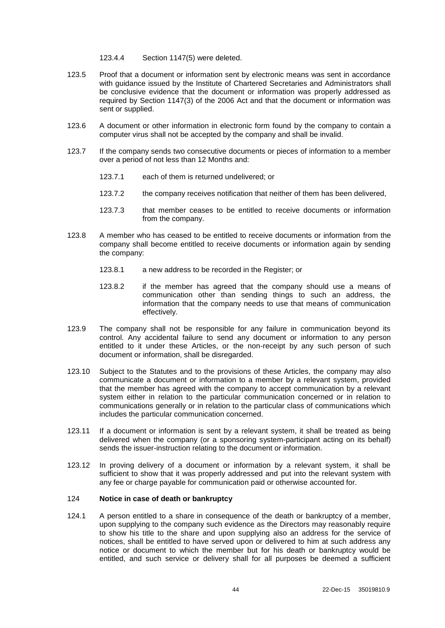#### 123.4.4 Section 1147(5) were deleted.

- 123.5 Proof that a document or information sent by electronic means was sent in accordance with guidance issued by the Institute of Chartered Secretaries and Administrators shall be conclusive evidence that the document or information was properly addressed as required by Section 1147(3) of the 2006 Act and that the document or information was sent or supplied.
- 123.6 A document or other information in electronic form found by the company to contain a computer virus shall not be accepted by the company and shall be invalid.
- 123.7 If the company sends two consecutive documents or pieces of information to a member over a period of not less than 12 Months and:
	- 123.7.1 each of them is returned undelivered; or
	- 123.7.2 the company receives notification that neither of them has been delivered,
	- 123.7.3 that member ceases to be entitled to receive documents or information from the company.
- 123.8 A member who has ceased to be entitled to receive documents or information from the company shall become entitled to receive documents or information again by sending the company:
	- 123.8.1 a new address to be recorded in the Register; or
	- 123.8.2 if the member has agreed that the company should use a means of communication other than sending things to such an address, the information that the company needs to use that means of communication effectively.
- 123.9 The company shall not be responsible for any failure in communication beyond its control. Any accidental failure to send any document or information to any person entitled to it under these Articles, or the non-receipt by any such person of such document or information, shall be disregarded.
- 123.10 Subject to the Statutes and to the provisions of these Articles, the company may also communicate a document or information to a member by a relevant system, provided that the member has agreed with the company to accept communication by a relevant system either in relation to the particular communication concerned or in relation to communications generally or in relation to the particular class of communications which includes the particular communication concerned.
- 123.11 If a document or information is sent by a relevant system, it shall be treated as being delivered when the company (or a sponsoring system-participant acting on its behalf) sends the issuer-instruction relating to the document or information.
- 123.12 In proving delivery of a document or information by a relevant system, it shall be sufficient to show that it was properly addressed and put into the relevant system with any fee or charge payable for communication paid or otherwise accounted for.

## 124 **Notice in case of death or bankruptcy**

<span id="page-48-0"></span>124.1 A person entitled to a share in consequence of the death or bankruptcy of a member, upon supplying to the company such evidence as the Directors may reasonably require to show his title to the share and upon supplying also an address for the service of notices, shall be entitled to have served upon or delivered to him at such address any notice or document to which the member but for his death or bankruptcy would be entitled, and such service or delivery shall for all purposes be deemed a sufficient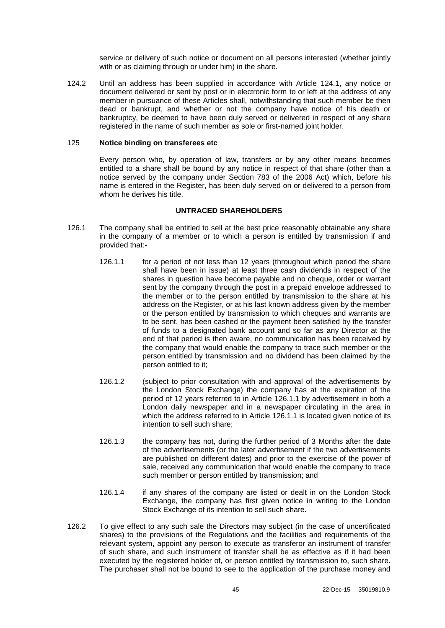service or delivery of such notice or document on all persons interested (whether jointly with or as claiming through or under him) in the share.

124.2 Until an address has been supplied in accordance with Article [124.1,](#page-48-0) any notice or document delivered or sent by post or in electronic form to or left at the address of any member in pursuance of these Articles shall, notwithstanding that such member be then dead or bankrupt, and whether or not the company have notice of his death or bankruptcy, be deemed to have been duly served or delivered in respect of any share registered in the name of such member as sole or first-named joint holder.

### 125 **Notice binding on transferees etc**

Every person who, by operation of law, transfers or by any other means becomes entitled to a share shall be bound by any notice in respect of that share (other than a notice served by the company under Section 783 of the 2006 Act) which, before his name is entered in the Register, has been duly served on or delivered to a person from whom he derives his title.

### **UNTRACED SHAREHOLDERS**

- <span id="page-49-1"></span><span id="page-49-0"></span>126.1 The company shall be entitled to sell at the best price reasonably obtainable any share in the company of a member or to which a person is entitled by transmission if and provided that:-
	- 126.1.1 for a period of not less than 12 years (throughout which period the share shall have been in issue) at least three cash dividends in respect of the shares in question have become payable and no cheque, order or warrant sent by the company through the post in a prepaid envelope addressed to the member or to the person entitled by transmission to the share at his address on the Register, or at his last known address given by the member or the person entitled by transmission to which cheques and warrants are to be sent, has been cashed or the payment been satisfied by the transfer of funds to a designated bank account and so far as any Director at the end of that period is then aware, no communication has been received by the company that would enable the company to trace such member or the person entitled by transmission and no dividend has been claimed by the person entitled to it;
	- 126.1.2 (subject to prior consultation with and approval of the advertisements by the London Stock Exchange) the company has at the expiration of the period of 12 years referred to in Article [126.1.1](#page-49-0) by advertisement in both a London daily newspaper and in a newspaper circulating in the area in which the address referred to in Article [126.1.1](#page-49-0) is located given notice of its intention to sell such share;
	- 126.1.3 the company has not, during the further period of 3 Months after the date of the advertisements (or the later advertisement if the two advertisements are published on different dates) and prior to the exercise of the power of sale, received any communication that would enable the company to trace such member or person entitled by transmission; and
	- 126.1.4 if any shares of the company are listed or dealt in on the London Stock Exchange, the company has first given notice in writing to the London Stock Exchange of its intention to sell such share.
- 126.2 To give effect to any such sale the Directors may subject (in the case of uncertificated shares) to the provisions of the Regulations and the facilities and requirements of the relevant system, appoint any person to execute as transferor an instrument of transfer of such share, and such instrument of transfer shall be as effective as if it had been executed by the registered holder of, or person entitled by transmission to, such share. The purchaser shall not be bound to see to the application of the purchase money and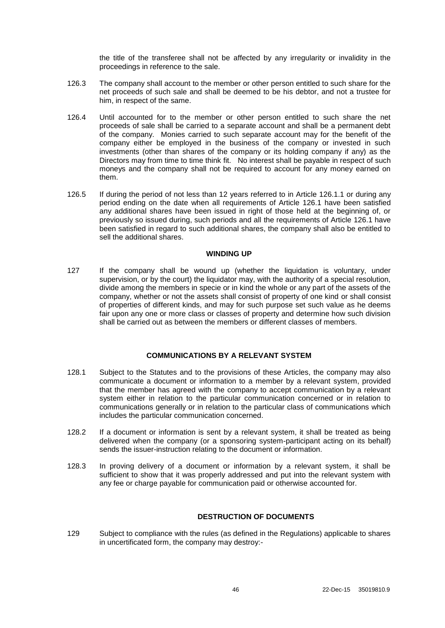the title of the transferee shall not be affected by any irregularity or invalidity in the proceedings in reference to the sale.

- 126.3 The company shall account to the member or other person entitled to such share for the net proceeds of such sale and shall be deemed to be his debtor, and not a trustee for him, in respect of the same.
- 126.4 Until accounted for to the member or other person entitled to such share the net proceeds of sale shall be carried to a separate account and shall be a permanent debt of the company. Monies carried to such separate account may for the benefit of the company either be employed in the business of the company or invested in such investments (other than shares of the company or its holding company if any) as the Directors may from time to time think fit. No interest shall be payable in respect of such moneys and the company shall not be required to account for any money earned on them.
- 126.5 If during the period of not less than 12 years referred to in Article [126.1.1](#page-49-0) or during any period ending on the date when all requirements of Article [126.1](#page-49-1) have been satisfied any additional shares have been issued in right of those held at the beginning of, or previously so issued during, such periods and all the requirements of Article [126.1](#page-49-1) have been satisfied in regard to such additional shares, the company shall also be entitled to sell the additional shares.

#### **WINDING UP**

127 If the company shall be wound up (whether the liquidation is voluntary, under supervision, or by the court) the liquidator may, with the authority of a special resolution, divide among the members in specie or in kind the whole or any part of the assets of the company, whether or not the assets shall consist of property of one kind or shall consist of properties of different kinds, and may for such purpose set such value as he deems fair upon any one or more class or classes of property and determine how such division shall be carried out as between the members or different classes of members.

# **COMMUNICATIONS BY A RELEVANT SYSTEM**

- 128.1 Subject to the Statutes and to the provisions of these Articles, the company may also communicate a document or information to a member by a relevant system, provided that the member has agreed with the company to accept communication by a relevant system either in relation to the particular communication concerned or in relation to communications generally or in relation to the particular class of communications which includes the particular communication concerned.
- 128.2 If a document or information is sent by a relevant system, it shall be treated as being delivered when the company (or a sponsoring system-participant acting on its behalf) sends the issuer-instruction relating to the document or information.
- 128.3 In proving delivery of a document or information by a relevant system, it shall be sufficient to show that it was properly addressed and put into the relevant system with any fee or charge payable for communication paid or otherwise accounted for.

#### **DESTRUCTION OF DOCUMENTS**

<span id="page-50-0"></span>129 Subject to compliance with the rules (as defined in the Regulations) applicable to shares in uncertificated form, the company may destroy:-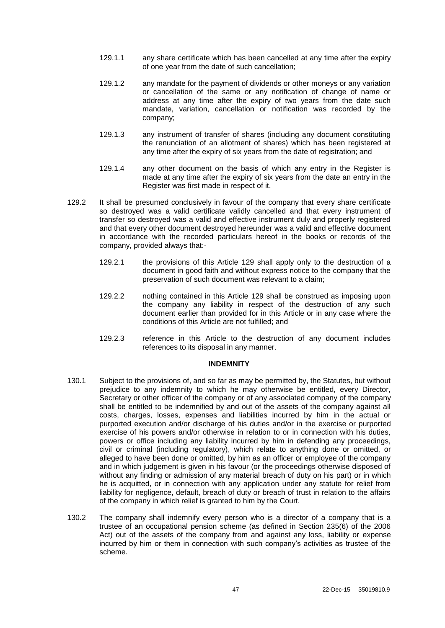- <span id="page-51-0"></span>129.1.1 any share certificate which has been cancelled at any time after the expiry of one year from the date of such cancellation;
- 129.1.2 any mandate for the payment of dividends or other moneys or any variation or cancellation of the same or any notification of change of name or address at any time after the expiry of two years from the date such mandate, variation, cancellation or notification was recorded by the company;
- 129.1.3 any instrument of transfer of shares (including any document constituting the renunciation of an allotment of shares) which has been registered at any time after the expiry of six years from the date of registration; and
- 129.1.4 any other document on the basis of which any entry in the Register is made at any time after the expiry of six years from the date an entry in the Register was first made in respect of it.
- 129.2 It shall be presumed conclusively in favour of the company that every share certificate so destroyed was a valid certificate validly cancelled and that every instrument of transfer so destroyed was a valid and effective instrument duly and properly registered and that every other document destroyed hereunder was a valid and effective document in accordance with the recorded particulars hereof in the books or records of the company, provided always that:-
	- 129.2.1 the provisions of this Article [129](#page-50-0) shall apply only to the destruction of a document in good faith and without express notice to the company that the preservation of such document was relevant to a claim;
	- 129.2.2 nothing contained in this Article [129](#page-50-0) shall be construed as imposing upon the company any liability in respect of the destruction of any such document earlier than provided for in this Article or in any case where the conditions of this Article are not fulfilled; and
	- 129.2.3 reference in this Article to the destruction of any document includes references to its disposal in any manner.

#### **INDEMNITY**

- 130.1 Subject to the provisions of, and so far as may be permitted by, the Statutes, but without prejudice to any indemnity to which he may otherwise be entitled, every Director, Secretary or other officer of the company or of any associated company of the company shall be entitled to be indemnified by and out of the assets of the company against all costs, charges, losses, expenses and liabilities incurred by him in the actual or purported execution and/or discharge of his duties and/or in the exercise or purported exercise of his powers and/or otherwise in relation to or in connection with his duties, powers or office including any liability incurred by him in defending any proceedings, civil or criminal (including regulatory), which relate to anything done or omitted, or alleged to have been done or omitted, by him as an officer or employee of the company and in which judgement is given in his favour (or the proceedings otherwise disposed of without any finding or admission of any material breach of duty on his part) or in which he is acquitted, or in connection with any application under any statute for relief from liability for negligence, default, breach of duty or breach of trust in relation to the affairs of the company in which relief is granted to him by the Court.
- 130.2 The company shall indemnify every person who is a director of a company that is a trustee of an occupational pension scheme (as defined in Section 235(6) of the 2006 Act) out of the assets of the company from and against any loss, liability or expense incurred by him or them in connection with such company's activities as trustee of the scheme.